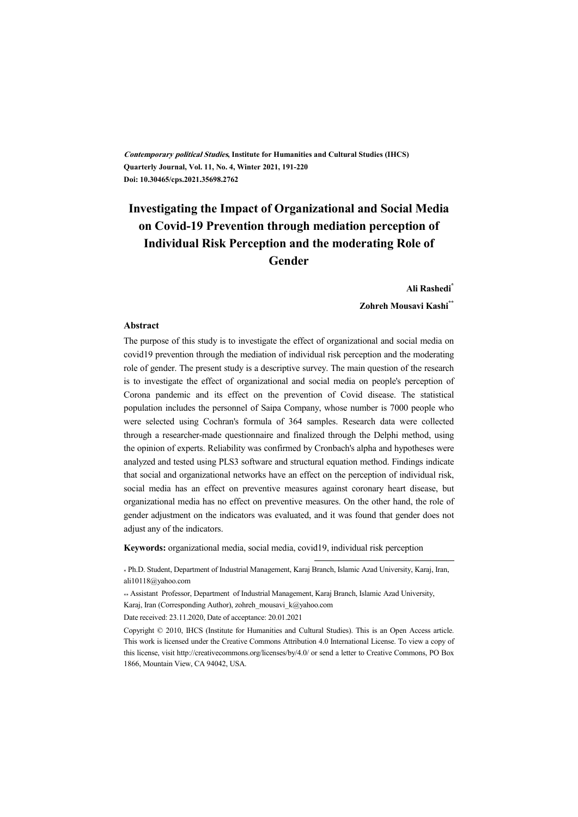**Contemporary political Studies, Institute for Humanities and Cultural Studies (IHCS) Quarterly Journal, Vol. 11, No. 4, Winter 2021, 191-220 Doi: 10.30465/cps.2021.35698.2762**

# **Investigating the Impact of Organizational and Social Media on Covid-19 Prevention through mediation perception of Individual Risk Perception and the moderating Role of Gender**

#### **Ali Rashedi\***

#### **Zohreh Mousavi Kashi\*\***

#### **Abstract**

The purpose of this study is to investigate the effect of organizational and social media on covid19 prevention through the mediation of individual risk perception and the moderating role of gender. The present study is a descriptive survey. The main question of the research is to investigate the effect of organizational and social media on people's perception of Corona pandemic and its effect on the prevention of Covid disease. The statistical population includes the personnel of Saipa Company, whose number is 7000 people who were selected using Cochran's formula of 364 samples. Research data were collected through a researcher-made questionnaire and finalized through the Delphi method, using the opinion of experts. Reliability was confirmed by Cronbach's alpha and hypotheses were analyzed and tested using PLS3 software and structural equation method. Findings indicate that social and organizational networks have an effect on the perception of individual risk, social media has an effect on preventive measures against coronary heart disease, but organizational media has no effect on preventive measures. On the other hand, the role of gender adjustment on the indicators was evaluated, and it was found that gender does not adjust any of the indicators.

**Keywords:** organizational media, social media, covid19, individual risk perception

\* Ph.D. Student, Department of Industrial Management, Karaj Branch, Islamic Azad University, Karaj, Iran, ali10118@yahoo.com

.

\*\* Assistant Professor, Department of Industrial Management, Karaj Branch, Islamic Azad University,

Karaj, Iran (Corresponding Author), zohreh\_mousavi\_k@yahoo.com

Date received: 23.11.2020, Date of acceptance: 20.01.2021

Copyright © 2010, IHCS (Institute for Humanities and Cultural Studies). This is an Open Access article. This work is licensed under the Creative Commons Attribution 4.0 International License. To view a copy of this license, visit http://creativecommons.org/licenses/by/4.0/ or send a letter to Creative Commons, PO Box 1866, Mountain View, CA 94042, USA.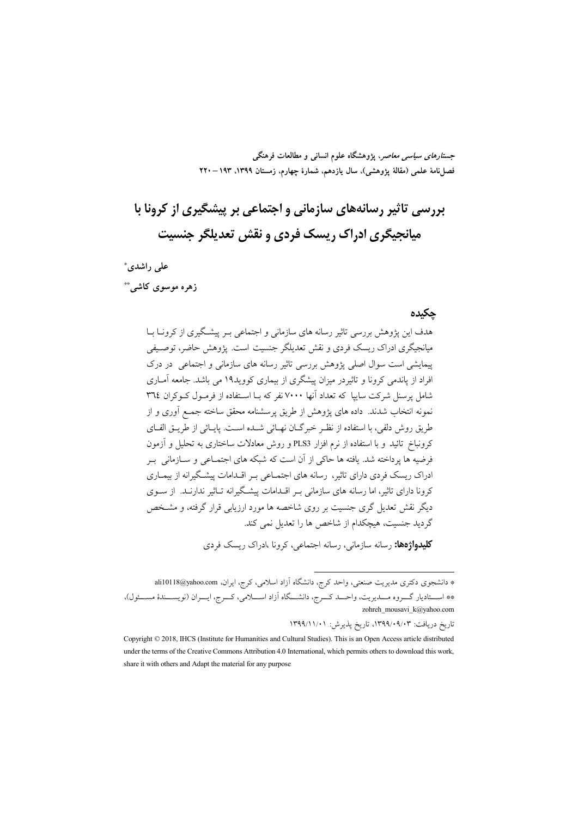جس*تارهای سیاسی معاصر*، پژوهشگاه علوم انسانی و مطالعات فرهنگی فصل نامة علمي (مقالة يژوهشي)، سال يازدهم، شمارة چهارم، زمستان ١٣٩٩، ١٣٩٣ – ٢٢٠

# بررسی تاثیر رسانههای سازمانی و اجتماعی بر پیشگیری از کرونا با ميانجيگري ادراک ريسک فردي و نقش تعديلگر جنسيت

علی راشدی\*

### زهره موسوى كاشى\*\*

#### حكىدە

هدف این یژوهش بررسی تاثیر رسانه های سازمانی و اجتماعی بـر پیشگیری از کرونــا بــا میانجیگری ادراک ریسک فردی و نقش تعدیلگر جنسیت است. یژوهش حاضر، توصـیفی پیمایشی است سوال اصلی پژوهش بررسی تاثیر رسانه های سازمانی و اجتماعی در درک افراد از پاندمی کرونا و تاثیردر میزان پیشگری از بیماری کووید۱۹ می باشد. جامعه آمـاری شامل پرسنل شرکت سایپا که تعداد آنها ۷۰۰۰ نفر که بـا اسـتفاده از فرمـول کـوکران ۳٦٤ نمونه انتخاب شدند. داده های پژوهش از طریق پرسشنامه محقق ساخته جمـع آوری و از طريق روش دلفي، با استفاده از نظـر خبرگـان نهـائي شـده اسـت. پايـائي از طريــق الفــاي کرونباخ تائید و با استفاده از نرم افزار PLS3 و روش معادلات ساختاری به تحلیل و آزمون فرضیه ها یرداخته شد. یافته ها حاکی از آن است که شبکه های اجتمـاعی و ســازمانی بــر ادراک ریسک فردی دارای تاثیر، رسانه های اجتمـاعی بـر اقـدامات پیشـگیرانه از بیمـاری کرونا دارای تاثیر، اما رسانه های سازمانی بـر اقــدامات پیشــگیرانه تــاثیر ندارنــد. از ســوی دیگر نقش تعدیل گری جنسیت بر روی شاخصه ها مورد ارزیابی قرار گرفته، و مشـخص گردید جنسیت، هیچکدام از شاخص ها را تعدیل نمی کند.

**کلیدواژهها:** رسانه سازمانی، رسانه اجتماعی، کرونا ،ادراک ریسک فردی

\* دانشجوی دکتری مدیریت صنعتی، واحد کرج، دانشگاه آزاد اسلامی، کرج، ایران، ali10118@yahoo.com \*\* اســتاديار گـــروه مـــديريت، واحـــد كـــرج، دانشـــگاه آزاد اســـلامي، كـــرج، ايـــران (نويســـندۀ مســـئول)، zohreh\_mousavi\_k@yahoo.com

تاریخ دریافت: ۰۹/۰۹/۰۹/۰۹/۰۳، تاریخ پذیرش: ۱۳۹۹/۱۱/۰۱

Copyright © 2018, IHCS (Institute for Humanities and Cultural Studies). This is an Open Access article distributed under the terms of the Creative Commons Attribution 4.0 International, which permits others to download this work, share it with others and Adapt the material for any purpose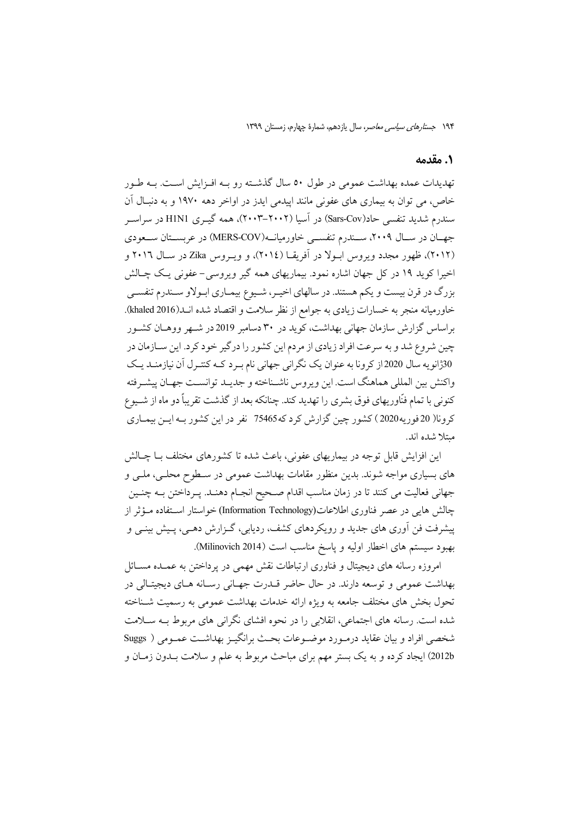#### 1. مقدمه

تهدیدات عمده بهداشت عمومی در طول ٥٠ سال گذشته رو بـه افـزایش اسـت. بـه طـور خاص، می توان به بیماری های عفونی مانند ایپدمی ایدز در اواخر دهه ۱۹۷۰ و به دنبـال آن سندرم شدید تنفسی حاد(Sars-Cov) در آسیا (۲۰۰۲–۲۰۰۳)، همه گیــری HINI در سراســر جهـان در سـال ۲۰۰۹، سـندرم تنفسـي خاورميانــه(MERS-COV) در عربسـتان ســعودي (۲۰۱۲)، ظهور مجدد ویروس ابـولا در آفریقـا (۲۰۱٤)، و ویـروس Zika در سـال ۲۰۱٦ و اخیرا کوید ۱۹ در کل جهان اشاره نمود. بیماریهای همه گیر ویروسی- عفونی یک چـالش بزرگ در قرن بیست و یکم هستند. در سالهای اخیـر، شـیوع بیمـاری ابـولاو سـندرم تنفسـی خاورمیانه منجر به خسارات زیادی به جوامع از نظر سلامت و اقتصاد شده انـــد(khaled 2016). براساس گزارش سازمان جهانی بهداشت، کوید در ۳۰ دسامبر 2019 در شـهر ووهــان کشــور چین شروع شد و به سرعت افراد زیادی از مردم این کشور را درگیر خود کرد. این ســازمان در 30ڑانویه سال 2020از کرونا به عنوان یک نگرانی جهانی نام بـرد کـه کنتـرل آن نیازمنـد یـک واكنش بين المللي هماهنگ است. اين ويروس ناشـناخته و جديـد توانسـت جهـان پيشـرفته کنونی با تمام فنّاوریهای فوق بشری را تهدید کند. چنانکه بعد از گذشت تقریباً دو ماه از شـیوع كرونا( 20 فوريه2020 ) كشور چين گزارش كرد كه3465 نفر در اين كشور بـه ايـن بيمـاري مىتلا شدە اند.

این افزایش قابل توجه در بیماریهای عفونی، باعث شده تا کشورهای مختلف بـا چـالش های بسیاری مواجه شوند. بدین منظور مقامات بهداشت عمومی در سـطوح محلـی، ملـی و جهانی فعالیت می کنند تا در زمان مناسب اقدام صحیح انجـام دهنـد. پـرداختن بـه چنـین چالش هایی در عصر فناوری اطلاعات(Information Technology) خواستار استفاده مؤثر از پیشرفت فن اَوری های جدید و رویکردهای کشف، ردیابی، گــزارش دهــی، پــیش بینــی و بهبود سیستم های اخطار اولیه و پاسخ مناسب است (Milinovich 2014).

امروزه رسانه های دیجیتال و فناوری ارتباطات نقش مهمی در یرداختن به عمـده مسـائل بهداشت عمومي و توسعه دارند. در حال حاضر قـدرت جهـاني رسـانه هـاي ديجيتـالي در تحول بخش های مختلف جامعه به ویژه ارائه خدمات بهداشت عمومی به رسمیت شـناخته شده است. رسانه های اجتماعی، انقلابی را در نحوه افشای نگرانی های مربوط بـه ســلامت شخصی افراد و بیان عقاید درمـورد موضـوعات بحـث برانگیـز بهداشـت عمـومی ( Suggs 2012b) ایجاد کرده و به یک بستر مهم برای مباحث مربوط به علم و سلامت بـدون زمـان و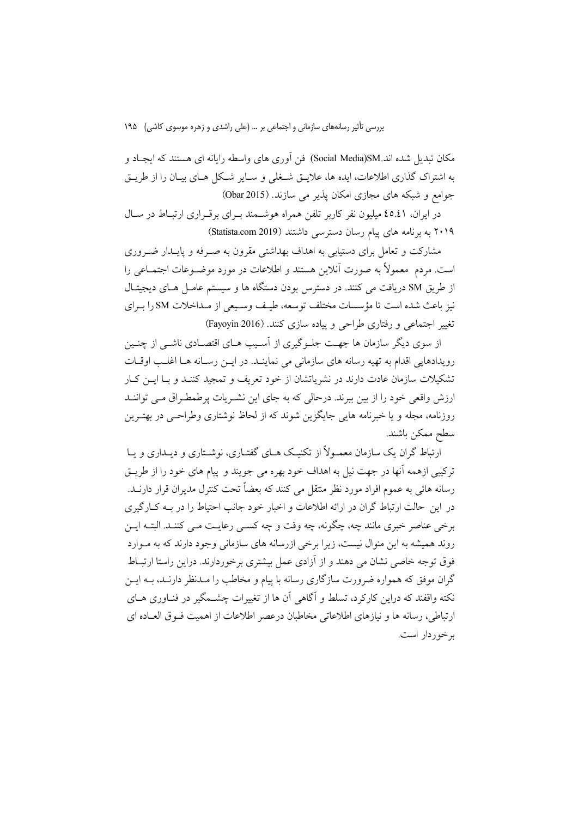مکان تبدیل شده اند.Social Media)SM) فن آوری های واسطه رایانه ای هستند که ایجـاد و به اشتراک گذاری اطلاعات، ایده ها، علایــق شــغلی و ســایر شــکل هــای بیــان را از طریــق جوامع و شبکه های مجازی امکان پذیر می سازند. (Obar 2015)

در ایران، ٤٥.٤١ میلیون نفر کاربر تلفن همراه هوشــمند بــرای برقــراری ارتبــاط در ســال ۲۰۱۹ به برنامه های پیام رسان دسترسی داشتند (Statista.com 2019)

مشارکت و تعامل برای دستیابی به اهداف بهداشتی مقرون به صـرفه و پایــدار ضــروری است. مردم ً معمولاً به صورت آنلاین هستند و اطلاعات در مورد موضـوعات اجتمــاعی را از طریق SM دریافت می کنند. در دسترس بودن دستگاه ها و سیستم عامـل هـای دیجیتـال نيز باعث شده است تا مؤسسات مختلف توسعه، طيـف وسـيعي از مـداخلات SM را بـراي تغییر اجتماعی و رفتاری طراحی و پیاده سازی کنند. (Fayoyin 2016)

از سوی دیگر سازمان ها جهت جلـوگیری از آسـیب هـای اقتصـادی ناشـی از چنـین رويدادهايي اقدام به تهيه رسانه هاي سازماني مي نماينـد. در ايــن رســانه هــا اغلــب اوقــات تشکیلات سازمان عادت دارند در نشریاتشان از خود تعریف و تمجید کننـد و بــا ایــن کــار ارزش واقعی خود را از بین ببرند. درحالی که به جای این نشـریات پرطمطـراق مـی تواننـد روزنامه، مجله و یا خبرنامه هایی جایگزین شوند که از لحاظ نوشتاری وطراحـی در بهتـرین سطح ممكن باشند.

ارتباط گران یک سازمان معمـولاً از تکنیـک هـای گفتـاری، نوشـتاری و دیـداری و یـا ترکیبی ازهمه آنها در جهت نیل به اهداف خود بهره می جویند و پیام های خود را از طریــق رسانه هائي به عموم افراد مورد نظر منتقل مي كنند كه بعضاً تحت كنترل مديران قرار دارنــد. در این حالت ارتباط گران در ارائه اطلاعات و اخبار خود جانب احتباط را در په کبار گیری برخی عناصر خبری مانند چه، چگونه، چه وقت و چه کسبی رعایت مبی کننید. البتیه این روند همیشه به این منوال نیست، زیرا برخی ازرسانه های سازمانی وجود دارند که به مـوارد فوق توجه خاصی نشان می دهند و از آزادی عمل بیشتری برخوردارند. دراین راستا ارتبـاط گران موفق که همواره ضرورت سازگاری رسانه با پیام و مخاطب را مـدنظر دارنـد، بــه ایــن نکته واقفند که دراین کارکرد، تسلط و آگاهی آن ها از تغییرات چشــمگیر در فنــاوری هــای ارتباطي، رسانه ها و نيازهاي اطلاعاتي مخاطبان درعصر اطلاعات از اهميت فـوق العــاده اي بر خوردار است.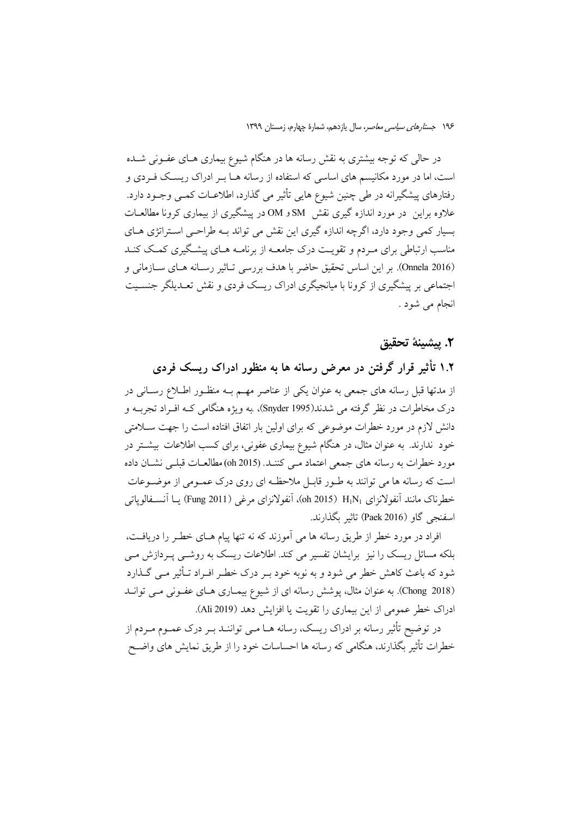در حالی که توجه بیشتری به نقش رسانه ها در هنگام شیوع بیماری هـای عفـونی شــده است، اما در مورد مکانیسم های اساسی که استفاده از رسانه هـا بـر ادراک ریسـک فـردی و رفتارهای پیشگیرانه در طی چنین شیوع هایی تأثیر می گذارد، اطلاعـات کمـی وجـود دارد. علاوه براین ً در مورد اندازه گیری نقش SM و OM در پیشگیری از بیماری کرونا مطالعــات بسیار کمی وجود دارد، اگرچه اندازه گیری این نقش می تواند بـه طراحـی اسـتراتژی هــای مناسب ارتباطی برای مـردم و تقویـت درک جامعـه از برنامـه هـای پیشـگیری کمـک کنـد (Onnela 2016). بر اين اساس تحقيق حاضر با هدف بررسي تـاثير رسـانه هـاي سـازماني و اجتماعی بر پیشگیری از کرونا با میانجیگری ادراک ریسک فردی و نقش تعـدیلگر جنسـیت انجام می شود .

#### ٢. پيشينهٔ تحقيق

۱.۲ تأثیر قرار گرفتن در معرض رسانه ها به منظور ادراک ریسک فردی از مدتها قبل رسانه های جمعی به عنوان یکی از عناصر مهـم بـه منظـور اطـلاع رسـانی در درک مخاطرات در نظر گرفته می شدند(Snyder 1995)، به ویژه هنگامی کـه افــراد تجربــه و دانش لازم در مورد خطرات موضوعی که برای اولین بار اتفاق افتاده است را جهت ســلامتی خود ندارند. به عنوان مثال، در هنگام شیوع بیماری عفونی، برای کسب اطلاعات بیشـتر در مورد خطرات به رسانه های جمعی اعتماد مـی کننـد. (150 oh) مطالعـات قبلـی نشـان داده است که رسانه ها می توانند به طـور قابـل ملاحظـه ای روی درک عمـومی از موضـوعات خطرناک مانند آنفولانزای H1N1 (015 Oh)، آنفولانزای مرغی (Fung 2011) یــا آنســفالوپاتـی اسفنجي گاو (Paek 2016) تاثير بگذارند.

افراد در مورد خطر از طریق رسانه ها می آموزند که نه تنها پیام هـای خطـر را دریافـت، بلکه مسائل ریسک را نیز برایشان تفسیر می کند. اطلاعات ریسک به روشــی پــردازش مــی شود که باعث کاهش خطر می شود و به نوبه خود بـر درک خطـر افـراد تــأثیر مــی گــذارد (Chong 2018). به عنوان مثال، پوشش رسانه ای از شیوع بیمـاری هـای عفـونی مـی توانــد ادراک خطر عمومی از این بیماری را تقویت یا افزایش دهد (Ali 2019).

در توضیح تأثیر رسانه بر ادراک ریسک، رسانه هــا مــی تواننــد بــر درک عمــوم مــردم از خطرات تأثیر بگذارند، هنگامی که رسانه ها احساسات خود را از طریق نمایش های واضـح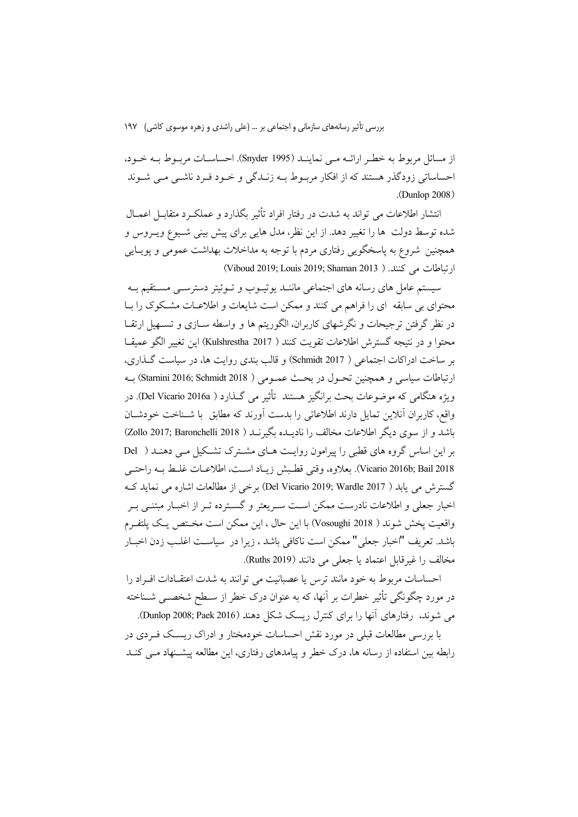از مسائل مربوط به خطر ارائــه مــي نماينــد (Snyder 1995). احساســات مربــوط بــه خــود، احساساتی زودگذر هستند که از افکار مربـوط بـه زنـدگی و خـود فـرد ناشـی مـی شـوند  $(Dunlop 2008)$ 

انتشار اطلاعات می تواند به شدت در رفتار افراد تأثیر بگذارد و عملک د متقابـــل اعمــال شده توسط دولت ها را تغییر دهد. از این نظر، مدل هایی برای پیش بینی شـیوع ویـروس و همچنین شروع به پاسخگویی رفتاری مردم با توجه به مداخلات بهداشت عمومی و پویـایی (رتباطات می کنند. ( Viboud 2019; Louis 2019; Shaman 2013)

سیستم عامل های رسانه های اجتماعی ماننـد یوتیـوب و تـوئیتر دسترسـی مسـتقیم بـه محتوای بی سابقه ای را فراهم می کنند و ممکن است شایعات و اطلاعـات مشـکوک را بــا در نظر گرفتن ترجیحات و نگرشهای کاربران، الگوریتم ها و واسطه ســازی و تســهیل ارتقــا محتوا و در نتيجه گسترش اطلاعات تقويت كنند ( Kulshrestha 2017) اين تغيير الگو عميقـا بر ساخت ادراكات اجتماعي ( Schmidt 2017) و قالب بندي روايت ها، در سياست گذاري، ارتباطات سياسي و همچنين تحـول در بحـث عمـومي ( Starnini 2016; Schmidt 2018) بـه ويژه هنگامي كه موضوعات بحث برانگيز هستند تأثير مي گـذارد ( Del Vicario 2016a). در واقع، كاربران أنلاين تمايل دارند اطلاعاتي را بدست أورند كه مطابق با شـناخت خودشـان باشد و از سوی دیگر اطلاعات مخالف را نادیــده بگیرنــد ( Zollo 2017; Baronchelli 2018) بر این اساس گروه های قطبی را پیرامون روایت هـای مشـترک تشـکیل مـی دهنـد ( Del Vicario 2016b; Bail 2018). بعلاوه، وقتى قطبش زيـاد اسـت، اطلاعـات غلـط بـه راحتـي گسترش می يابد ( Del Vicario 2019; Wardle 2017) برخی از مطالعات اشاره می نماید ک اخبار جعلی و اطلاعات نادرست ممکن اسـت سـریعتر و گسـترده تـر از اخبـار مبتنــی بـر واقعيت يخش شوند ( Vosoughi 2018) با اين حال ، اين ممكن است مختص يك پلتفـرم باشد. تعريف "اخبار جعلي" ممكن است ناكافي باشد ، زيرا در سياسـت اغلـب زدن اخبــار مخالف را غيرقابل اعتماد يا جعلي مي دانند (Ruths 2019).

احساسات مربوط به خود مانند ترس یا عصبانیت می توانند به شدت اعتقـادات افـراد را در مورد چگونگی تأثیر خطرات بر آنها، که به عنوان درک خطر از سـطح شخصــی شــناخته می شوند، رفتارهای آنها را برای کنترل ریسک شکل دهند (Dunlop 2008; Paek 2016).

با بررسی مطالعات قبلی در مورد نقش احساسات خودمختار و ادراک ریســک فــردی در رابطه بین استفاده از رسانه ها، درک خطر و پیامدهای رفتاری، این مطالعه پیشـنهاد مـی کنـد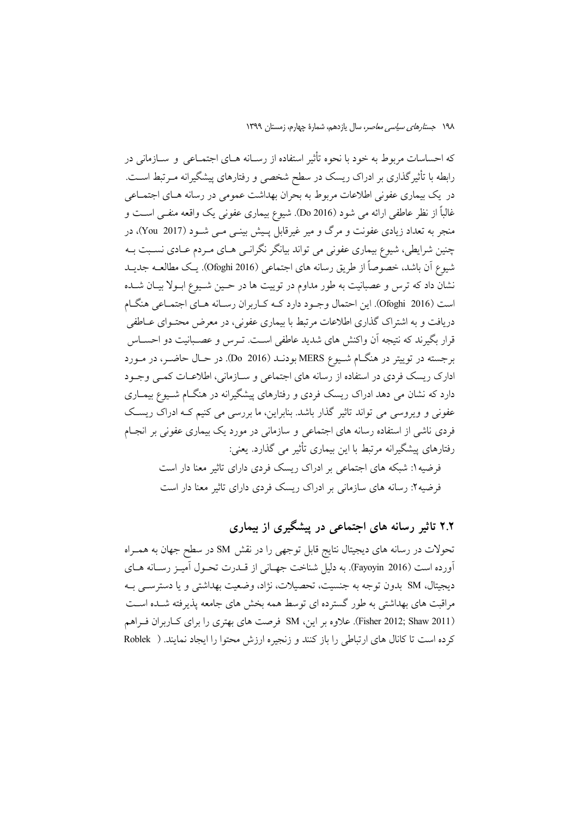که احساسات مربوط به خود با نحوه تأثیر استفاده از رسـانه هــای اجتمــاعی و ســازمانی در رابطه با تأثیرگذاری بر ادراک ریسک در سطح شخصی و رفتارهای پیشگیرانه مـرتبط اسـت. در یک بیماری عفونی اطلاعات مربوط به بحران بهداشت عمومی در رسانه هـای اجتمـاعی غالباً از نظر عاطفي ارائه مي شود (Do 2016). شيوع بيماري عفوني يک واقعه منفـي اسـت و منجر به تعداد زیادی عفونت و مرگ و میر غیرقابل پـیش بینــی مــی شــود (You 2017)، در چنین شرایطی، شیوع بیماری عفونی می تواند بیانگر نگرانسی هـای مـردم عـادی نسـبت بـه شيوع أن باشد، خصوصاً از طريق رسانه هاي اجتماعي (Ofoghi 2016). يـك مطالعــه جديــد نشان داد که ترس و عصبانیت به طور مداوم در توییت ها در حـین شـیوع ابـولا بیـان شـده است (Ofoghi 2016). این احتمال وجـود دارد کـه کـاربران رسـانه هـاي اجتمـاعي هنگـام دریافت و به اشتراک گذاری اطلاعات مرتبط با بیماری عفونی، در معرض محتـوای عــاطفی قرار بگیرند که نتیجه آن واکنش های شدید عاطفی است. تـرس و عصـبانیت دو احســاس برجسته در توييتر در هنگ|م شـيوع MERS بودنــد (Do 2016). در حــال حاضــر، در مــورد ادارک ریسک فردی در استفاده از رسانه های اجتماعی و سـازمانی، اطلاعـات کمـی وجـود دارد که نشان می دهد ادراک ریسک فردی و رفتارهای پیشگیرانه در هنگـام شـیوع بیمـاری عفونی و ویروسی می تواند تاثیر گذار باشد. بنابراین، ما بررسی می کنیم کـه ادراک ریسـک فردی ناشی از استفاده رسانه های اجتماعی و سازمانی در مورد یک بیماری عفونی بر انجـام رفتارهای پیشگیرانه مرتبط با این بیماری تأثیر می گذارد. یعنی:

> فرضیه ۱: شبکه های اجتماعی بر ادراک ریسک فردی دارای تاثیر معنا دار است فرضیه۲: رسانه های سازمانی بر ادراک ریسک فردی دارای تاثیر معنا دار است

> > ۲.۲ تاثیر رسانه های اجتماعی در پیشگیری از بیماری

تحولات در رسانه های دیجیتال نتایج قابل توجهی را در نقش SM در سطح جهان به همـراه آورده است (Fayoyin 2016). به دلیل شناخت جهـانی از قــدرت تحــول آميـز رســانه هــای ديجيتال، SM بدون توجه به جنسيت، تحصيلات، نژاد، وضعيت بهداشتي و يا دسترسبي بـه مراقبت های بهداشتی به طور گسترده ای توسط همه بخش های جامعه پذیرفته شـده اسـت (Fisher 2012; Shaw 2011). علاوه بر این، SM فرصت های بهتری را برای کباربران فبراهم كرده است تا كانال هاي ارتباطي را باز كنند و زنجيره ارزش محتوا را ايجاد نمايند. ( Roblek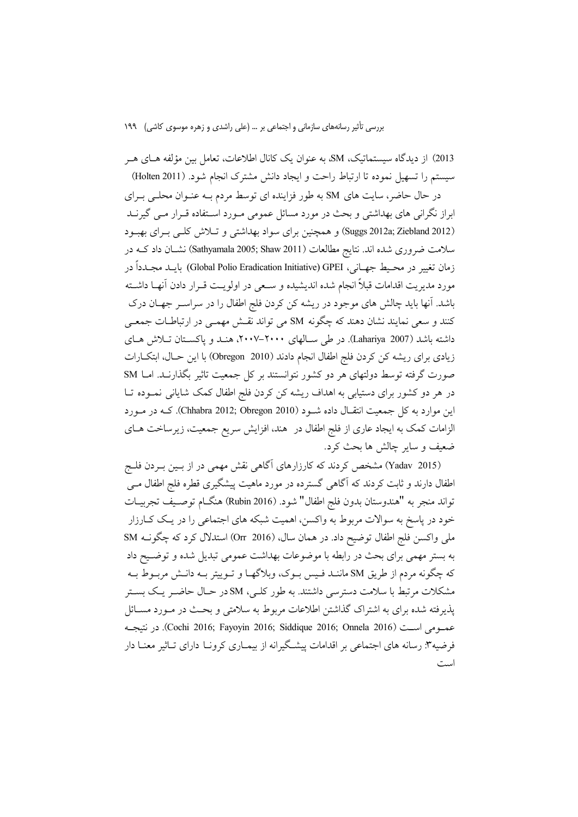2013) از دیدگاه سیستماتیک، SM، به عنوان یک کانال اطلاعات، تعامل بین مؤلفه هـای هـر سيستم را تسهيل نموده تا ارتباط راحت و ايجاد دانش مشترك انجام شود. (Holten 2011)

در حال حاضر، سایت های SM به طور فزاینده ای توسط مردم بـه عنـوان محلـی بـرای ابراز نگرانی های بهداشتی و بحث در مورد مسائل عمومی مـورد اسـتفاده قـرار مـی گیرنــد (Suggs 2012a; Ziebland 2012) و همچنین برای سواد بهداشتی و تلاش کلبی برای بهبود سلامت ضروری شده اند. نتایج مطالعات (Sathyamala 2005; Shaw 2011) نشـان داد کــه در زمان تغيير در محـيط جهـاني، Global Polio Eradication Initiative) GPEI) بايــد مجــدداً در مورد مديريت اقدامات قبلاً انجام شده انديشيده و سـعي در اولويـت قــرار دادن اّنهــا داشــته باشد. آنها باید چالش های موجود در ریشه کن کردن فلج اطفال را در سراسـر جهـان درک کنند و سعی نمایند نشان دهند که چگونه SM می تواند نقـش مهمـی در ارتباطـات جمعـی داشته باشد (Lahariya 2007). در طی سـالهای ۲۰۰۰–۲۰۰۷، هنـد و پاکسـتان تـلاش هـای زیادی برای ریشه کن کردن فلج اطفال انجام دادند (2010 Obregon) با این حـال، ابتکــارات صورت گرفته توسط دولتهای هر دو کشور نتوانستند بر کل جمعیت تاثیر بگذارنـد. امـا SM در هر دو کشور برای دستیابی به اهداف ریشه کن کردن فلج اطفال کمک شایانی نمـوده تـا این موارد به کل جمعیت انتقـال داده شـود (Chhabra 2012; Obregon 2010). کــه در مـورد الزامات کمک به ایجاد عاری از فلج اطفال در هند، افزایش سریع جمعیت، زیرساخت هـای ضعيف و ساير چالش ها بحث كرد.

(Yadav 2015) مشخص کردند که کارزارهای آگاهی نقش مهمی در از بـین بـردن فلـج اطفال دارند و ثابت کردند که آگاهی گسترده در مورد ماهیت پیشگیری قطره فلج اطفال مــی تواند منجر به "هندوستان بدون فلج اطفال" شود. (Rubin 2016) هنگــام توصــيف تجربيــات خود در پاسخ به سوالات مربوط به واکسن، اهمیت شبکه های اجتماعی را در یک کـارزار ملي واكسن فلج اطفال توضيح داد. در همان سال، Orr 2016) استدلال كرد كه چگونــه SM به بستر مهمی برای بحث در رابطه با موضوعات بهداشت عمومی تبدیل شده و توضـیح داد که چگونه مردم از طریق SM ماننـد فـیس بـوک، وبلاگهـا و تـوییتر بـه دانـش مربـوط بـه مشکلات مرتبط با سلامت دسترسی داشتند. به طور کلـی، SM در حـال حاضـر یـک بســتر پذیرفته شده برای به اشتراک گذاشتن اطلاعات مربوط به سلامتی و بحـث در مــورد مســائل عمدومي است (Cochi 2016; Fayoyin 2016; Siddique 2016; Onnela 2016). در نتيجـه فرضیه۳: رسانه های اجتماعی بر اقدامات پیشگیرانه از بیمـاری کرونـا دارای تـاثیر معنـا دار است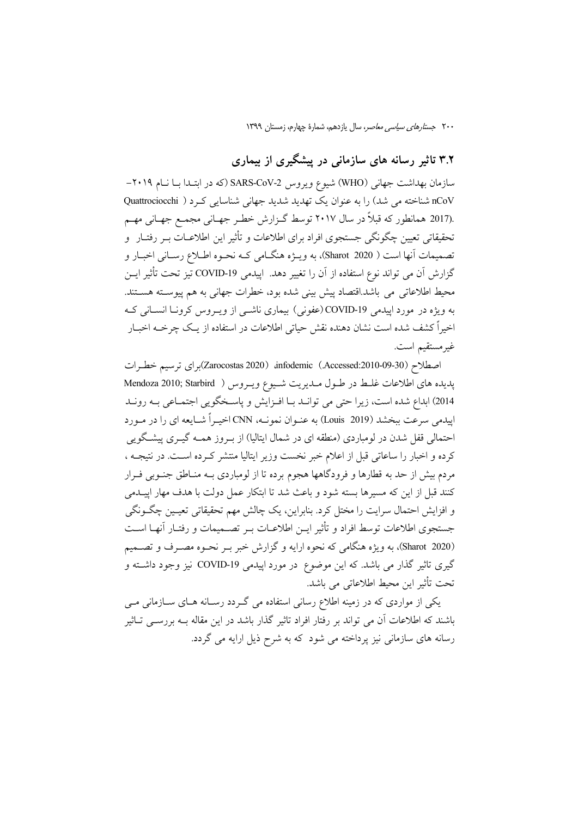### ۳.۲ تاثیر رسانه های سازمانی در پیشگیری از بیماری

سازمان بهداشت جهانی (WHO) شیوع ویروس SARS-CoV-2 (که در ابتـدا بــا نــام ۲۰۱۹– nCoV شناخته می شد) را به عنوان یک تهدید شدید جهانی شناسایی کـرد ( Quattrociocchi .(2017 همانطور که قبلاً در سال ۲۰۱۷ توسط گـزارش خطـر جهـاني مجمـع جهـاني مهـم تحقیقاتی تعیین چگونگی جستجوی افراد برای اطلاعات و تأثیر این اطلاعــات بــر رفتــار و تصميمات آنها است ( Sharot 2020)، به ويـژه هنگـامي كـه نحـوه اطـلاع رسـاني اخبـار و گزارش آن می تواند نوع استفاده از آن را تغییر دهد. ایپدمی COVID-19 تیز تحت تأثیر ایــن محيط اطلاعاتي مي باشد.اقتصاد پيش بيني شده بود، خطرات جهاني به هم پيوسـته هســتند. به ویژه در مورد اییدمی COVID-19 (عفونی) بیماری ناشــی از ویــروس کرونــا انســانی کــه اخیراً کشف شده است نشان دهنده نقش حیاتی اطلاعات در استفاده از یـک چرخــه اخبــار غير مستقيم است.

اصطلاح (Accessed:2010-09-30) (Zarocostas 2020) infodemic( Accessed:2010-09-30)بر اي ترسيم خطرات يديده هاي اطلاعات غلط در طول ملديريت شيوع ويروس ( Mendoza 2010; Starbird 2014) ابداع شده است، زيرا حتى مى توانـد بـا افـزايش و ياسـخگويى اجتمـاعى بـه رونـد اییدمی سرعت ببخشد (Louis 2019) به عنـوان نمونـه، CNN اخیـراً شـایعه ای را در مـورد احتمالی قفل شدن در لومباردی (منطقه ای در شمال ایتالیا) از بـروز همــه گیـری پیشـگویی كرده و اخبار را ساعاتي قبل از اعلام خبر نخست وزير ايتاليا منتشر كـرده اسـت. در نتيجــه ، مردم بیش از حد به قطارها و فرودگاهها هجوم برده تا از لومباردی بـه منـاطق جنـوبی فـرار كنند قبل از اين كه مسيرها بسته شود و باعث شد تا ابتكار عمل دولت با هدف مهار اييــدمى و افزایش احتمال سرایت را مختل کرد. بنابراین، یک چالش مهم تحقیقاتی تعیـین چگـونگی جستجوى اطلاعات توسط افراد و تأثير ايــن اطلاعــات بــر تصــميمات و رفتــار آنهــا اســت (Sharot 2020)، به ویژه هنگامی که نحوه ارایه و گزارش خبر بـر نحـوه مصـرف و تصــمیم گیری تاثیر گذار می باشد. که این موضوع در مورد اپیدمی COVID-19 نیز وجود داشته و تحت تأثير اين محيط اطلاعاتي مي باشد.

یکی از مواردی که در زمینه اطلاع رسانی استفاده می گـردد رسـانه هـای سـازمانی مـی باشند که اطلاعات آن می تواند بر رفتار افراد تاثیر گذار باشد در این مقاله بـه بررســی تــاثیر رسانه های سازمانی نیز پرداخته می شود که به شرح ذیل ارایه می گردد.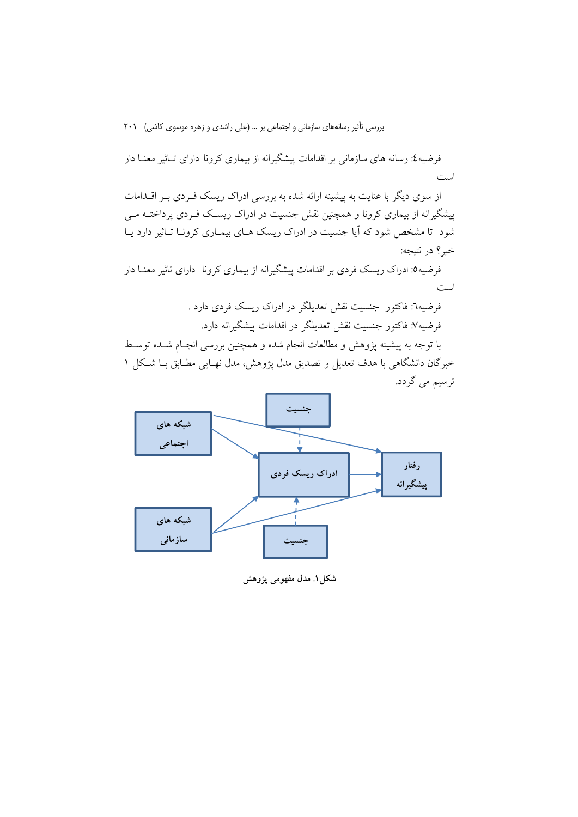فرضیه ٤: رسانه های سازمانی بر اقدامات پیشگیرانه از بیماری کرونا دارای تـاثیر معنــا دار است

از سوی دیگر با عنایت به پیشینه ارائه شده به بررسی ادراک ریسک فـردی بـر اقــدامات پیشگیرانه از بیماری کرونا و همچنین نقش جنسیت در ادراک ریسک فـردی پرداختــه مـی شود تا مشخص شود که آیا جنسیت در ادراک ریسک هـای بیمـاری کرونـا تـاثیر دارد یـا خبر؟ در نتيجه:

فرضیه0: ادراک ریسک فردی بر اقدامات پیشگیرانه از بیماری کرونا دارای تاثیر معنـا دار است

> فرضیه٦: فاکتور جنسیت نقش تعدیلگر در ادراک ریسک فردی دارد . فرضيه٧: فاكتور جنسيت نقش تعديلگر در اقدامات پيشگيرانه دارد.

با توجه به پیشینه پژوهش و مطالعات انجام شده و همچنین بررسی انجـام شــده توســط خبرگان دانشگاهی با هدف تعدیل و تصدیق مدل پژوهش، مدل نهـایی مطـابق بـا شـكل ۱ ترسیم می گردد.



شکل ۱. مدل مفهومی یژوهش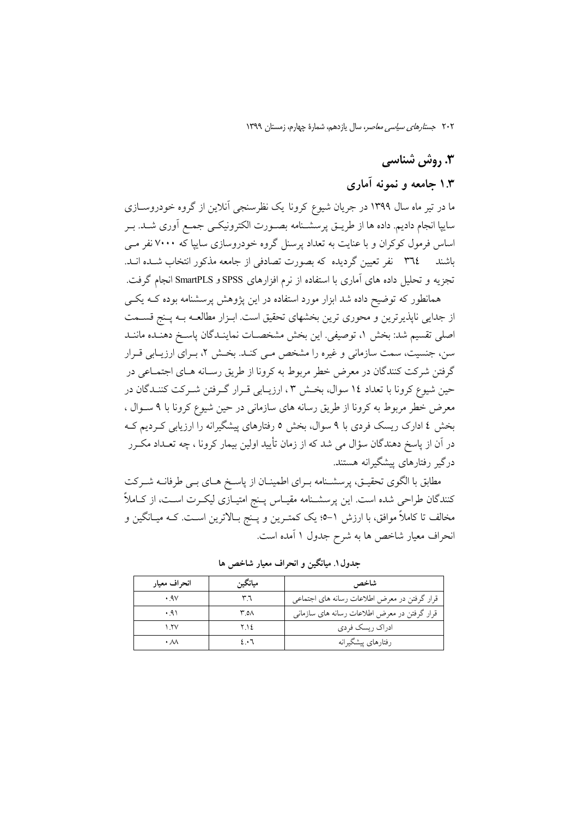## 3. روش شناسی

### ۱.۳ جامعه و نمونه آماری

ما در تیر ماه سال ۱۳۹۹ در جریان شیوع کرونا یک نظرسنجی آنلاین از گروه خودروسـازی سايپا انجام داديم. داده ها از طريــق پرسشــنامه بصــورت الكترونيكــي جمــع اَورى شــد. بــر اساس فرمول کوکران و با عنایت به تعداد پرسنل گروه خودروسازی سایپا که ۷۰۰۰ نفر مـی تجزیه و تحلیل داده های آماری با استفاده از نرم افزارهای SPSS و SmartPLS انجام گرفت.

همانطور که توضیح داده شد ابزار مورد استفاده در این پژوهش پرسشنامه بوده کـه یکـی از جدایی ناپذیرترین و محوری ترین بخشهای تحقیق است. ابـزار مطالعـه بـه پـنج قســمت اصلي تقسيم شد: بخش ١، توصيفي. اين بخش مشخصـات نماينـدگان ياسـخ دهنـده ماننـد سن، جنسیت، سمت سازمانی و غیره را مشخص مـی کنـد. بخـش ۲، بـرای ارزیـابی قـرار گرفتن شرکت کنندگان در معرض خطر مربوط به کرونا از طریق رسـانه هـای اجتمـاعی در حین شیوع کرونا با تعداد ١٤ سوال، بخش ٣، ارزیـابی قـرار گـرفتن شـرکت کننـدگان در معرض خطر مربوط به كرونا از طريق رسانه هاى سازمانى در حين شيوع كرونا با ٩ سـوال ، بخش ٤ ادارک ریسک فردی با ٩ سوال، بخش ٥ رفتارهای پیشگیرانه را ارزیابی کـردیم کـه در آن از پاسخ دهندگان سؤال می شد که از زمان تأیید اولین بیمار کرونا ، چه تعـداد مکــرر درگیر رفتارهای پیشگیرانه هستند.

مطابق با الگوی تحقیـق، پرسشــنامه بـرای اطمینــان از پاسـخ هــای بــی طرفانــه شــرکت کنندگان طراحی شده است. این پرسشـنامه مقیـاس پـنج امتیـازی لیکـرت اسـت، از کــاملاً مخالف تا کاملاً موافق، با ارزش ١–9؛ یک کمتـرین و پـنج بـالاترین اسـت. کــه میـانگین و انحراف معیار شاخص ها به شرح جدول ۱ آمده است.

| انحراف معيار        | ميانگين | شاخص                                         |
|---------------------|---------|----------------------------------------------|
| .9V                 | ٣٦      | قرار گرفتن در معرض اطلاعات رسانه هاي اجتماعي |
| .91                 | ۸ه.۳    | قرار گرفتن در معرض اطلاعات رسانه های سازمانی |
| $\frac{1}{2}$       | ۲.۱٤    | ادراک ریسک فردی                              |
| $\cdot \mathcal{N}$ | 2.1     | رفتارهاي پيشگيرانه                           |

جدول ۱. میانگین و انحراف معیار شاخص ها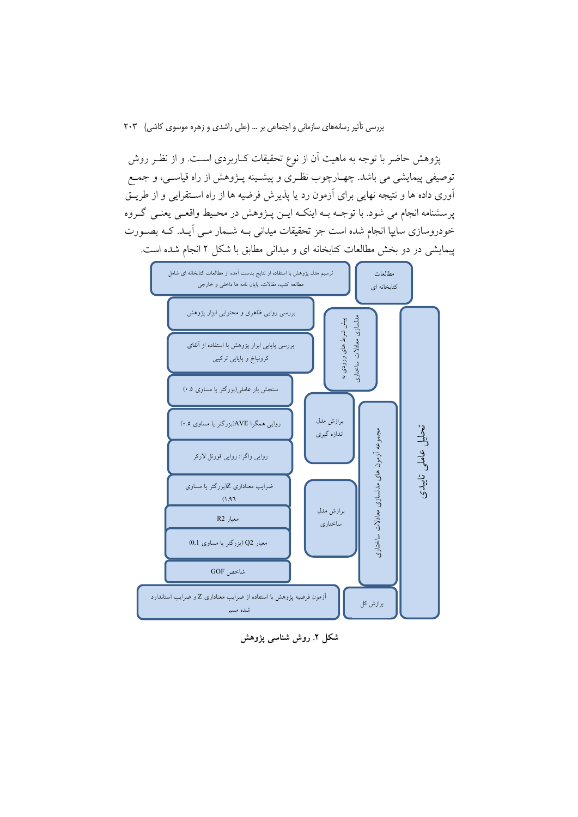پژوهش حاضر با توجه به ماهیت آن از نوع تحقیقات کـاربردی اسـت. و از نظـر روش توصیفی پیمایشی می باشد. چهـارچوب نظـری و پیشـینه پــژوهش از راه قیاســی، و جمــع آوری داده ها و نتیجه نهایی برای آزمون رد یا پذیرش فرضیه ها از راه استقرایی و از طریـق پرسشنامه انجام می شود. با توجـه بـه اینکـه ایــن پــژوهش در محـيط واقعــي يعنــي گــروه خودروسازی ساییا انجام شده است جز تحقیقات میدانی بـه شــمار مــی آیــد. کــه بصــورت پیمایشی در دو بخش مطالعات کتابخانه ای و میدانی مطابق با شکل ۲ انجام شده است.



شکل ۲. روش شناسی پژوهش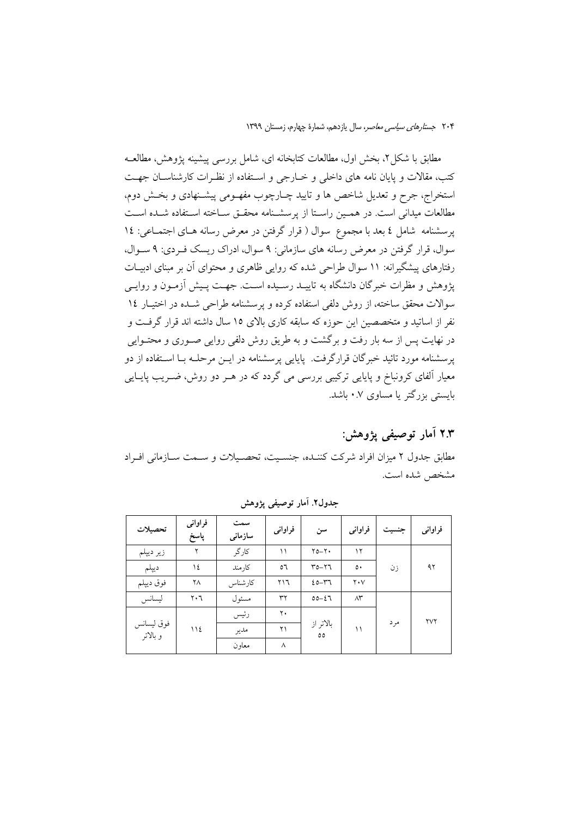مطابق با شکل ۲، بخش اول، مطالعات کتابخانه ای، شامل بررسی پیشینه پژوهش، مطالعــه کتب، مقالات و پایان نامه های داخلی و خبارجی و استفاده از نظیرات کارشناسیان جهت استخراج، جرح و تعدیل شاخص ها و تایید چـارچوب مفهـومی پیشـنهادی و بخـش دوم، مطالعات میدانی است. در هممین راستا از پرسشـنامه محقـق سـاخته اسـتفاده شـده اسـت یرسشنامه شامل ٤ بعد با مجموع سوال ( قرار گرفتن در معرض رسانه هـای اجتمـاعی: ١٤ سوال، قرار گرفتن در معرض رسانه های سازمانی: ۹ سوال، ادراک ریسک فـردی: ۹ سـوال، رفتارهای پیشگیرانه: ۱۱ سوال طراحی شده که روایی ظاهری و محتوای آن بر مبنای ادبیـات یژوهش و مظرات خبرگان دانشگاه به تاییـد رسـیده اسـت. جهـت پـیش آزمـون و روایـی سوالات محقق ساخته، از روش دلفی استفاده کرده و پرسشنامه طراحی شـده در اختیـار ١٤ نفر از اساتید و متخصصین این حوزه که سابقه کاری بالای ۱۵ سال داشته اند قرار گرفت و در نهایت پس از سه بار رفت و برگشت و به طریق روش دلفی روایی صـوری و محتـوایی یرسشنامه مورد تائید خبرگان قرارگرفت. پایایی پرسشنامه در ایــن مرحلــه بــا اســتفاده از دو معیار اَلفای کرونباخ و پایایی ترکیبی بررسی می گردد که در هـر دو روش، ضـریب پایــایی بایستی بزرگتر یا مساوی ۰.۷ باشد.

# ۲.۳ آمار توصیفی پژوهش:

مطابق جدول ٢ ميزان افراد شركت كننـده، جنسـيت، تحصـيلات و سـمت سـازماني افـراد مشخص شده است.

| تحصيلات                | فراواني<br>پاسخ | سمت<br>سازمانى | فراواني        | سن                         | فراوانى             | جنسيت | فراواني |
|------------------------|-----------------|----------------|----------------|----------------------------|---------------------|-------|---------|
| زير ديپلم              | ۲               | کارگر          | ۱۱             | $Y_0-Y$                    | ۱۲                  |       |         |
| ديپلم                  | ١٤              | كار مند        | ٥٦             | $Y_0 - Y_1$                | $\circ \cdot$       | زن    | ۹۲      |
| فوق ديپلم              | ٢٨              | كارشناس        | ۲۱٦            | $20 - 17$                  | $Y \cdot V$         |       |         |
| ليسانس                 | ٢٠٦             | مسئول          | ٣٢             | $00 - 27$                  | $\wedge\!\check{r}$ |       |         |
|                        |                 | رئيس           | $\mathbf{y}$ . | بالاتر از<br>$\circ \circ$ |                     | مر د  | ٢V٢     |
| فوق ليسانس<br>و بالاتر | 112             | مدير           | ۲۱             |                            | ۱۱                  |       |         |
|                        |                 | معاون          | ٨              |                            |                     |       |         |

جدول٢. آمار توصيفي يژوهش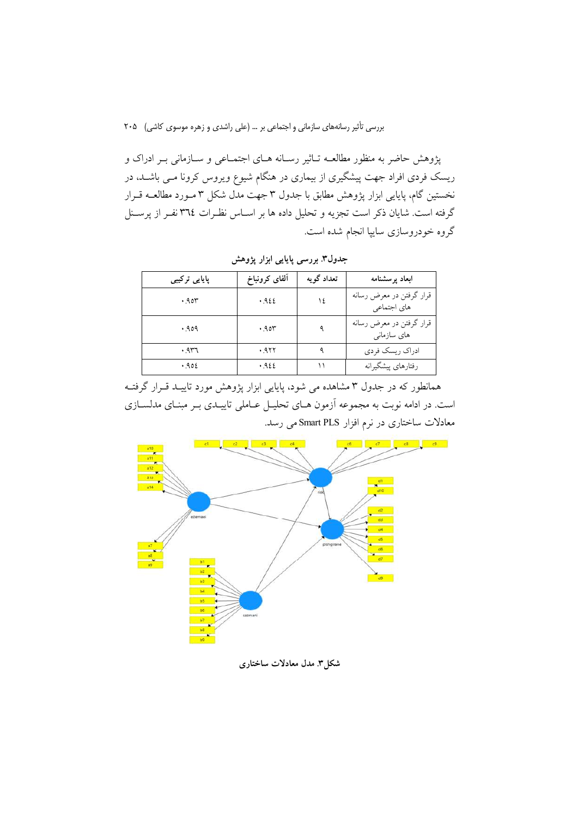.<br>پژوهش حاضر به منظور مطالعـه تــاثیر رســانه هــای اجتمــاعی و ســازمانی بــر ادراک و ریسک فردی افراد جهت پیشگیری از بیماری در هنگام شیوع ویروس کرونا مــی باشــد، در نخستین گام، پایایی ابزار پژوهش مطابق با جدول ۳ جهت مدل شکل ۳ مـورد مطالعــه قــرار گرفته است. شایان ذکر است تجزیه و تحلیل داده ها بر اســاس نظـرات ٣٦٤ نفــر از پرســنل گروه خودروسازی ساییا انجام شده است.

| پایایی ترکیب <i>ی</i> | ألفاي كرونباخ | تعداد گويه | ابعاد پرسشنامه                          |
|-----------------------|---------------|------------|-----------------------------------------|
| .90r                  | .922          | ١٤         | قرار گرفتن در معرض رسانه<br>های اجتماعی |
| .909.                 | .905          | ٩          | قرار گرفتن در معرض رسانه<br>های سازمانی |
| ۳٦۲. •                | .977          |            | ادراك ريسك فردى                         |
| .902                  | .922          |            | رفتارهاي پيشگيرانه                      |

جدول۳. بررسی پایایی ابزار پژوهش

همانطور که در جدول ۳ مشاهده می شود، پایایی ابزار پژوهش مورد تاییــد قــرار گرفتــه است. در ادامه نوبت به مجموعه آزمون هـاي تحليـل عـاملي تاييــدي بـر مبنــاي مدلســازي معادلات ساختاری در نرم افزار Smart PLS می رسد.



شکل۳. مدل معادلات ساختاری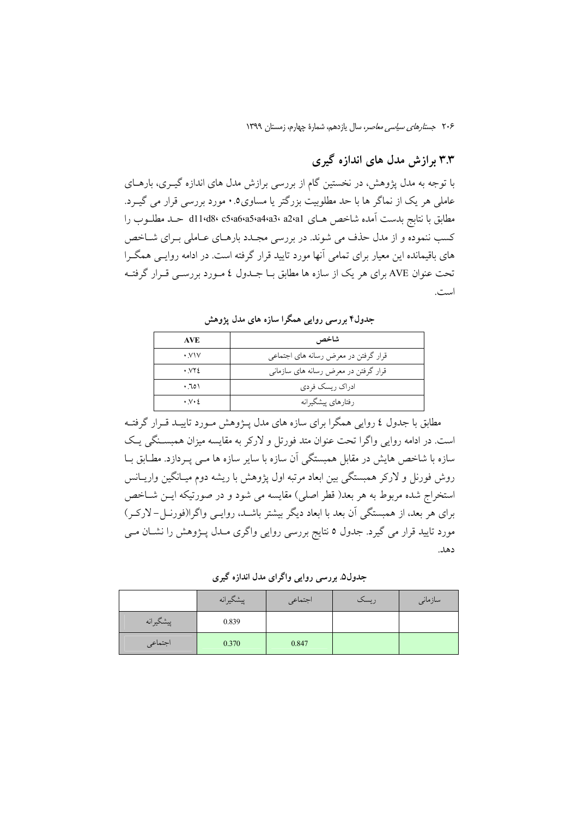# ۳.۳ برازش مدل های اندازه گیری

با توجه به مدل پژوهش، در نخستین گام از بررسی برازش مدل های اندازه گیــری، بارهــای عاملی هر یک از نماگر ها با حد مطلوبیت بزرگتر یا مساوی۰.۰ مورد بررسی قرار می گیـرد. مطابق با نتابج بدست آمده شاخص هـاى a1421°34'434°43'411 حـد مطلــوب را کسب ننموده و از مدل حذف می شوند. در بررسی مجـدد بارهـای عـاملی بـرای شـاخص های باقیمانده این معیار برای تمامی آنها مورد تایید قرار گرفته است. در ادامه روایـی همگـرا تحت عنوان AVE برای هر یک از سازه ها مطابق بــا جــدول ٤ مــورد بررســي قــرار گرفتــه است.

شاخص AVE  $\cdot$  y  $\vee$ قرار گرفتن در معرض رسانه های اجتماعی  $\cdot$   $\vee$   $\cdot$ قرار گرفتن در معرض رسانه های سازمانی  $.701$ ادراک ریسک فردی  $\cdot$   $\vee$   $\cdot$   $\circ$ رفتارهاي پيشگيرانه

جدول۴ بررسی روایی همگرا سازه های مدل پژوهش

مطابق با جدول ٤ روايي همگرا براي سازه هاي مدل پــژوهش مــورد تاييــد قــرار گرفتــه است. در ادامه روایی واگرا تحت عنوان متد فورتل و لارکر به مقایسه میزان همبسـنگی یـک سازه با شاخص هایش در مقابل همبستگی آن سازه با سایر سازه ها مــی پــردازد. مطــابق بــا روش فورنل و لارکر همبستگی بین ابعاد مرتبه اول پژوهش با ریشه دوم میـانگین واریـانس استخراج شده مربوط به هر بعد( قطر اصلي) مقايسه مي شود و در صورتيكه ايـن شـاخص برای هر بعد، از همبستگی آن بعد با ابعاد دیگر بیشتر باشـد، روایـبی واگرا(فورنــل-لارکــر) مورد تایید قرار می گیرد. جدول ٥ نتایج بررسی روایی واگری مــدل پــژوهش را نشــان مــی دهد.

جدول۵. بررسی روایی واگرای مدل اندازه گیری

|           | پیشگیرانه | اجتماعي | ريسک | سازمانى |
|-----------|-----------|---------|------|---------|
| پیشگیرانه | 0.839     |         |      |         |
| اجتماعي   | 0.370     | 0.847   |      |         |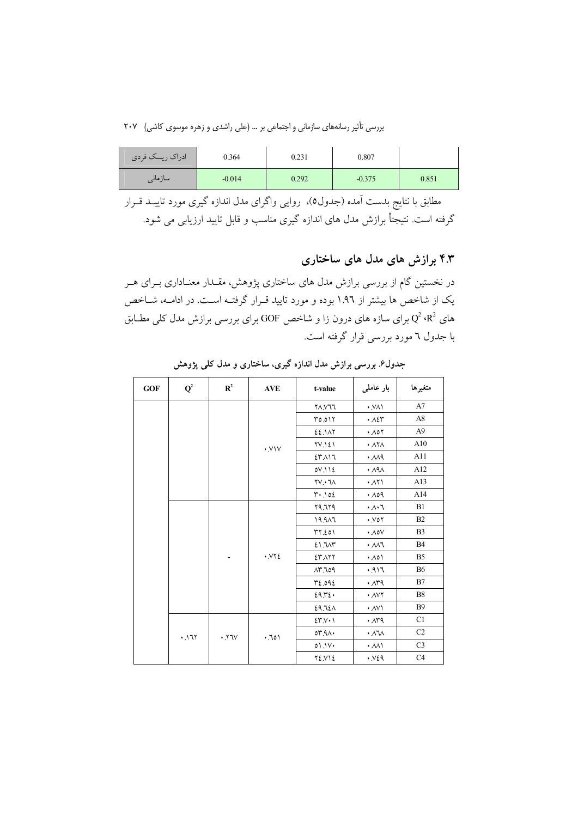بررسی تأثیر رسانههای سازمانی و اجتماعی بر … (علی راشدی و زهره موسوی کاشی) ۲۰۷

| ادراک ریسک فردی | 0.364    | 0.231 | 0.807    |       |
|-----------------|----------|-------|----------|-------|
| ِ سازمانی       | $-0.014$ | 0.292 | $-0.375$ | 0.851 |

مطابق با نتایج بدست آمده (جدول٥)، روایی واگرای مدل اندازه گیری مورد تاییــد قــرار گرفته است. نتیجتاً برازش مدل های اندازه گیری مناسب و قابل تایید ارزیابی می شود.

۴.۳ برازش های مدل های ساختاری

در نخستین گام از بررسی برازش مدل های ساختاری پژوهش، مقــدار معنــاداری بــرای هــر یک از شاخص ها بیشتر از ۱.۹٦ بوده و مورد تایید قـرار گرفتــه اســت. در ادامــه، شــاخص های  $\mathrm{Q}^2$  برای سازه های درون زا و شاخص GOF برای بررسی برازش مدل کلی مطـابق با جدول ٦ مورد بررسی قرار گرفته است.

| GOF | $\mathbf{Q}^2$ | $\mathbb{R}^2$     | <b>AVE</b>             | t-value                   | بار عاملی                      | متغيرها        |
|-----|----------------|--------------------|------------------------|---------------------------|--------------------------------|----------------|
|     |                |                    |                        | <b>77.V17</b>             | $\cdot$ VA)                    | A7             |
|     |                |                    |                        | 70.017                    | $\cdot \wedge \varepsilon$ ۳   | A8             |
|     |                |                    |                        | EE.IAT                    | $\cdot \wedge \circ \curlyvee$ | A <sub>9</sub> |
|     |                |                    | $\cdot$ VIV            | <b>TV.121</b>             | $\cdot$ $\wedge$ $\wedge$      | A10            |
|     |                |                    |                        | ٤٣٨١٦                     | $\cdot$ $\land \land \land$    | A11            |
|     |                |                    |                        | 0V.11E                    | $\cdot \lambda$ ۹ $\wedge$     | A12            |
|     |                |                    |                        | $YV \cdot V$              | $\cdot$ $\wedge$ $\wedge$      | A13            |
|     |                |                    |                        | $T^*$ . 102               | .09                            | A14            |
|     |                |                    |                        | 79.779                    | $\cdot \wedge \cdot 7$         | B1             |
|     |                |                    |                        | 19.917                    | .001                           | B2             |
|     |                |                    |                        | YY.201                    | $\cdot \wedge \circ \vee$      | B <sub>3</sub> |
|     |                |                    |                        | 21.707                    | $\cdot$ $\land \land \top$     | <b>B4</b>      |
|     |                |                    | $\cdot$ . $\vee$ $\in$ | ٤٣٨٢٢                     | $\cdot \wedge \circ \wedge$    | B <sub>5</sub> |
|     |                |                    |                        | 109.709                   | .917                           | <b>B6</b>      |
|     |                |                    |                        | $P_{\epsilon.09\epsilon}$ | $\cdot \wedge r$ ٩             | B7             |
|     |                |                    |                        | 29.72.                    | · AVY                          | <b>B8</b>      |
|     |                |                    |                        | <b>E9.7EA</b>             | $\cdot$ AV                     | <b>B</b> 9     |
|     |                |                    |                        | 25.1                      | $\cdot \wedge r$ ۹             | C1             |
|     | .171           | $\cdot$ .77 $\vee$ | .701                   | 07.91                     | $\cdot \wedge \wedge$          | C2             |
|     |                |                    |                        | 01.1V                     | $\cdot$ $\land \land \land$    | C <sub>3</sub> |
|     |                |                    |                        | $Y\Sigma Y$ $\Sigma$      | .934                           | C4             |

جدول۶<sub>.</sub> بررسی برازش مدل اندازه گیری، ساختاری و مدل کل*ی* پژوهش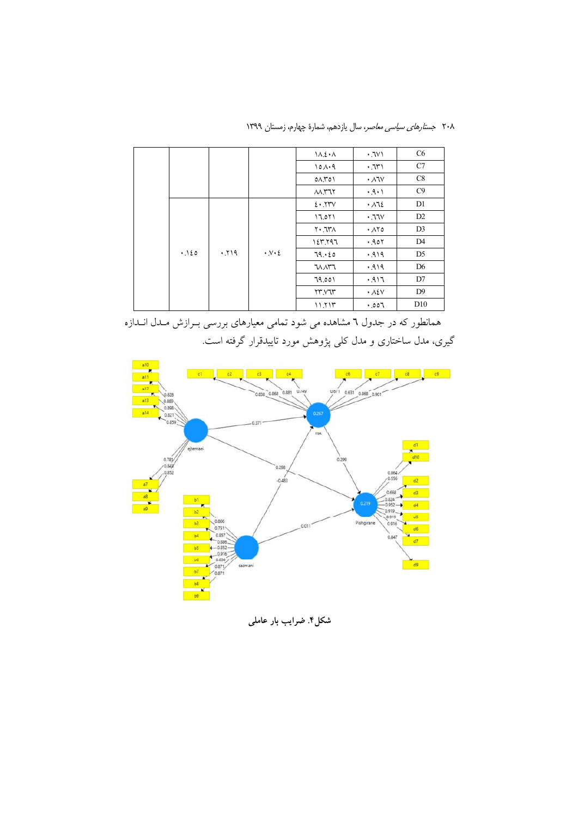۲۰۸ ج*ستارهای سیاسی معاصر*، سال یازدهم، شمارهٔ چهارم، زمستان ۱۳۹۹

|      |      |                                   | $\Lambda$ . 2 . $\Lambda$       | .7V1                        | C <sub>6</sub> |
|------|------|-----------------------------------|---------------------------------|-----------------------------|----------------|
|      |      |                                   | 101.9                           | ۱ ٦٣١.                      | C7             |
|      |      |                                   | $0 \wedge \Upsilon 0$           | ۰ ۸٦۷                       | C8             |
|      |      |                                   | $M$ $M$                         | .9.1                        | C9             |
|      |      |                                   | 2.5                             | .112                        | D1             |
|      |      |                                   | 17.071                          | .77V                        | D <sub>2</sub> |
|      |      |                                   | $\Lambda$ $\Lambda$ . $\Lambda$ | $\cdot$ $\wedge \vee \circ$ | D <sub>3</sub> |
|      |      |                                   | 127.797                         | 0.907                       | D4             |
| .120 | .719 | $\cdot$ $\vee$ $\cdot$ $\epsilon$ | 79.60                           | .919                        | D <sub>5</sub> |
|      |      |                                   | <b>WAT1</b>                     | .919                        | D <sub>6</sub> |
|      |      |                                   | 79.001                          | ۱۹۱۶.                       | D7             |
|      |      |                                   | YY. V1Y                         | $\cdot$ $\lambda$ ٤٧        | D <sub>9</sub> |
|      |      |                                   | 11.717                          | .007                        | D10            |

همانطور که در جدول ٦ مشاهده می شود تمامی معیارهای بررسی بـرازش مـدل انـدازه گیری، مدل ساختاری و مدل کلی پژوهش مورد تاییدقرار گرفته است.



شکل۴. ضرایب بار عاملی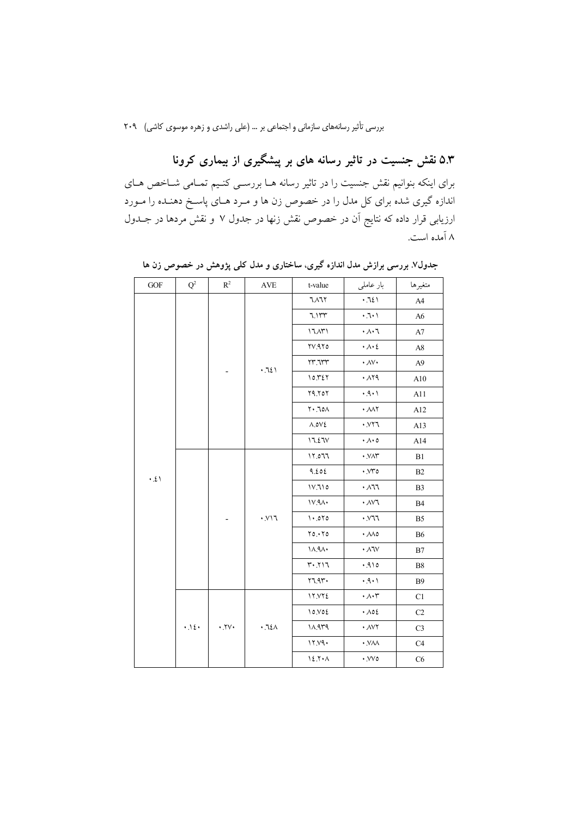۵.۳ نقش جنسیت در تاثیر رسانه های بر پیشگیری از بیماری کرونا برای اینکه بنوانیم نقش جنسیت را در تاثیر رسانه هــا بررســی کنــیم تمــامی شــاخص هــای ندازه گیری شده برای کل مدل را در خصوص زن ها و مـرد هـای پاسـخ دهنـده را مـورد ارزیابی قرار داده که نتایج آن در خصوص نقش زنها در جدول ۷ و نقش مردها در جــدول ۸ آمده است.

| GOF              | $Q^2$ | $R^2$               | $\operatorname{AVE}$           | t-value                             | بار عاملی                                        | متغيرها        |
|------------------|-------|---------------------|--------------------------------|-------------------------------------|--------------------------------------------------|----------------|
|                  |       |                     |                                | ٦٨٦٢                                | .721                                             | A <sub>4</sub> |
|                  |       |                     |                                | 7.177                               | $\cdot$ , $\cdot$ , $\cdot$                      | A6             |
|                  |       |                     |                                | 17AT1                               | $\cdot \wedge \cdot$ 7                           | $\rm A7$       |
|                  |       |                     |                                | 77.970                              | $\cdot \wedge \cdot 2$                           | A8             |
|                  |       |                     |                                | YY.7YY                              | $\cdot$ $\wedge$ $\vee$                          | A <sub>9</sub> |
|                  |       |                     | .721                           | 10.727                              | .119                                             | A10            |
|                  |       |                     |                                | 79.707                              | .9.1                                             | A11            |
|                  |       |                     |                                | $N \cdot N$                         | $\cdot$ $\mathcal{M}$ $\uparrow$                 | A12            |
|                  |       |                     |                                | $\wedge \mathsf{.o}\vee \mathsf{E}$ | .177.                                            | A13            |
|                  |       |                     |                                | 17.27V                              | $\cdot \wedge \cdot \circ$                       | A14            |
|                  |       |                     | $\cdot$ $_{\rm \!V}$ $\!$ $\!$ | 170.77                              | · VAY                                            | B1             |
| $\cdot$ . $\ell$ |       |                     |                                | 9.202                               | $\cdot$ . $\vee\mathcal{r}$                      | B2             |
|                  |       |                     |                                | 1V.710                              | $\cdot$ $\wedge$ 77                              | B <sub>3</sub> |
|                  |       |                     |                                | $1V.9A \cdot$                       | $\cdot$ $\land\lor\uparrow$                      | B4             |
|                  |       |                     |                                | $\lambda \cdot 0.070$               | $\cdot$ . $\vee$ 77                              | B <sub>5</sub> |
|                  |       |                     |                                | Y0.1Y0                              | $\cdot$ $\mathcal{M}$ 0                          | ${\bf B6}$     |
|                  |       |                     |                                | ۱۸.۹۸۰                              | $\cdot$ $\land$ $\hspace{-1.5mm}\text{iv}$       | B7             |
|                  |       |                     |                                | $T'$ . $T$                          | .910                                             | <b>B8</b>      |
|                  |       |                     |                                | 57.95                               | .9.1                                             | <b>B9</b>      |
|                  |       |                     |                                | 17.772                              | $\cdot$ $\wedge\cdot$ $\hspace{-.05cm}\ulcorner$ | C1             |
|                  |       |                     |                                | 10.90E                              | $\cdot \wedge \circ \xi$                         | C <sub>2</sub> |
|                  | .12.  | $\cdot$ . $\forall$ | $\cdot$ .7٤                    | 11.979                              | $\cdot$ AVY                                      | C <sub>3</sub> |
|                  |       |                     |                                | 17.79.                              | $\cdot$ .<br>VAA                                 | C <sub>4</sub> |
|                  |       |                     |                                | $12.7 - A$                          | $\cdot$ . $\vee\vee\circ$                        | C6             |

جدول۷. بررسی برازش مدل اندازه گیری، ساختاری و مدل کلی پژوهش در خصوص زن ها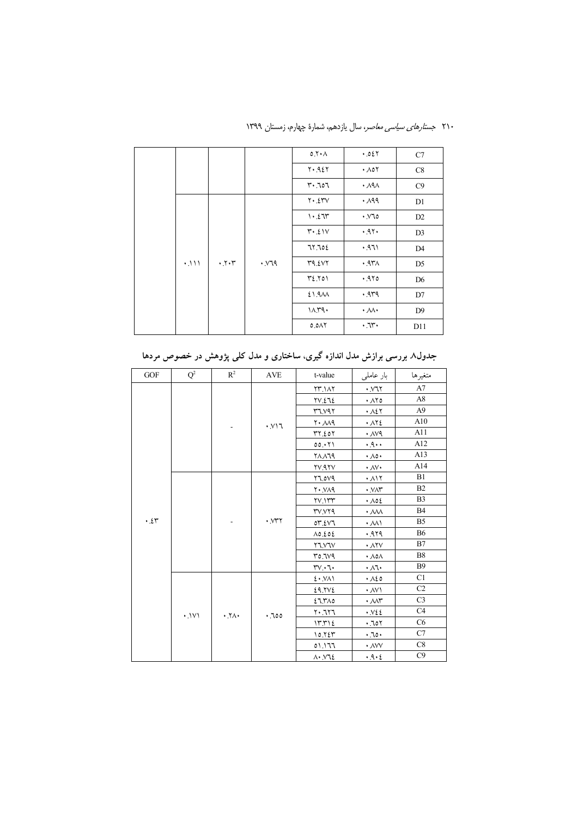|      |      |              | 0.7 A                 | .027                      | C7             |
|------|------|--------------|-----------------------|---------------------------|----------------|
|      |      |              | $Y \cdot A \Sigma Y$  | $\cdot \wedge \circ \vee$ | C8             |
|      |      |              | $r \cdot 707$         | $\cdot$ $\land$ 9 $\land$ | C9             |
|      |      |              | $Y \cdot 2YV$         | ۰.۸۹۹                     | D1             |
|      |      |              | 1.27                  | $\cdot$ $\vee$ 10         | D2             |
|      |      |              | $Y^{\bullet}$ . $21V$ | .97.                      | D <sub>3</sub> |
|      |      |              | 77.702                | .971                      | D <sub>4</sub> |
| .111 | .7.7 | $YY \cdot Y$ | 49.547                | $.97\wedge$               | D <sub>5</sub> |
|      |      |              | $Y\Sigma Y$           | .970                      | D <sub>6</sub> |
|      |      |              | 21.9 <sub>AA</sub>    | .949                      | D7             |
|      |      |              | 10.79.                | $\cdot \mathcal{M} \cdot$ | D <sub>9</sub> |
|      |      |              | ۸۸۲.٥                 | .7r.                      | D11            |

۲۱۰ *جستارهای سیاسی معاصر*، سال یازدهم، شمارهٔ چهارم، زمستان ۱۳۹۹

| $\rm GOF$      | $Q^2$ | $R^2$ | <b>AVE</b>                  | t-value                          | بار عاملی                                   | متغيرها        |
|----------------|-------|-------|-----------------------------|----------------------------------|---------------------------------------------|----------------|
|                |       |       |                             | <b>YM.14Y</b>                    | $\cdot$ $\vee$ $\vee$ $\vee$                | A7             |
|                |       |       |                             | <b>TV.272</b>                    | ۰ ۸۲٥                                       | A8             |
|                |       |       |                             | $Y^{\prime\prime}$               | $\cdot \lambda \mathcal{E}$                 | A <sub>9</sub> |
|                |       |       | $\cdot$ N\                  | $\mathsf{Y} \cdot \mathcal{M}$ ٩ | $\cdot$ $\wedge$ $\vee$ $\epsilon$          | A10            |
|                |       |       |                             | ۳۲.٤٥٢                           | $\cdot$ $\land\lor\land$                    | A11            |
|                |       |       |                             | 00.171                           | .4.1                                        | A12            |
|                |       |       |                             | <b>71119</b>                     | $\cdot \wedge \circ \cdot$                  | A13            |
|                |       |       |                             | <b>YV.AYV</b>                    | $\cdot$ $\wedge$ $\vee$                     | A14            |
|                |       |       |                             | <b>PV0.77</b>                    | $. \lambda$                                 | B1             |
|                |       |       | $\cdot$ $NTY$               | $Y \cdot Y \wedge q$             | $\cdot$ .<br>VAY                            | B2             |
|                |       |       |                             | YV.1rr                           | $\cdot \wedge \circ \epsilon$               | B <sub>3</sub> |
|                |       |       |                             | <b>۳</b> ۷.۷۲۹                   | $\boldsymbol{\cdot}$ AVA                    | <b>B4</b>      |
| $\cdot$ . $25$ |       |       |                             | 07.EV7                           | $\cdot$ M)                                  | B <sub>5</sub> |
|                |       |       |                             | $\Lambda$ 0.202                  | 979.                                        | <b>B6</b>      |
|                |       |       |                             | Y7.Y7V                           | $\cdot$ $\wedge$ $\vee$                     | B7             |
|                |       |       |                             | <u>۳0.719</u>                    | $\cdot \lambda$ o $\wedge$                  | B <sub>8</sub> |
|                |       |       |                             | $rv \cdot 7$                     | $\cdot \wedge \cdot$                        | <b>B</b> 9     |
|                |       |       |                             | 2.1                              | $\cdot$ $\wedge$ 20                         | C1             |
|                |       |       |                             | 29.7V                            | $\cdot$ AV)                                 | C <sub>2</sub> |
|                |       |       |                             | 27.710                           | $\cdot$ $\wedge \wedge \curlyvee$           | C <sub>3</sub> |
|                | .1V1  | .7A.  | .700                        | 7۰.٦٢٦                           | $\cdot$ . $V22$                             | C4             |
|                |       |       |                             | 17.712                           | .707                                        | C6             |
|                |       |       |                             | 10.725                           | .50.                                        | C7             |
|                |       |       |                             | 01.177                           | $\boldsymbol{\cdot}$ $\wedge$ $\vee$ $\vee$ | C8             |
|                |       |       | $\Lambda$ . $\mathsf{M}\xi$ | .9.2                             | C9                                          |                |

جدول۸ بررسی برازش مدل اندازه گیری، ساختاری و مدل کلی پژوهش در خصوص مردها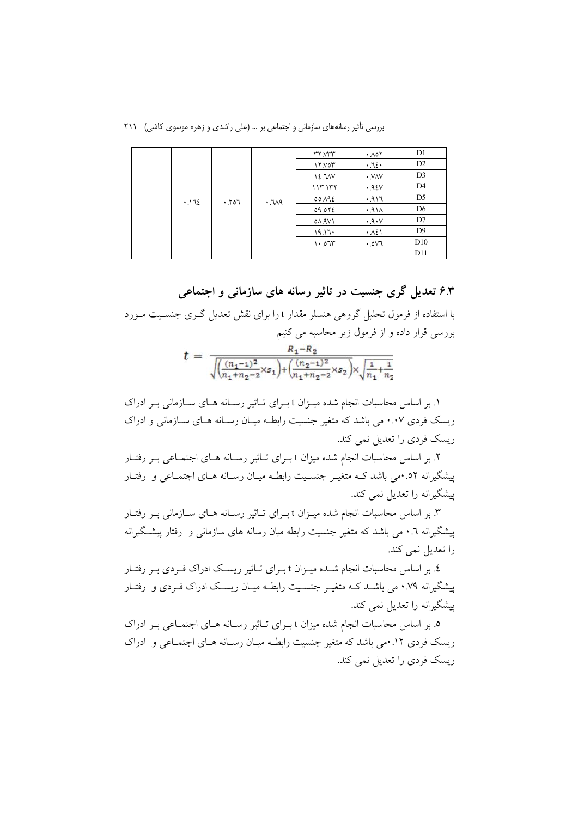بررسی تأثیر رسانههای سازمانی و اجتماعی بر ... (علی راشدی و زهره موسوی کاشی) ۲۱۱

|  |      |      |      | <b>MY.WY</b>  | $\cdot$ $\wedge$ $\circ$ $\vee$ | D1             |
|--|------|------|------|---------------|---------------------------------|----------------|
|  |      |      |      | 17.707        | .72.                            | D2             |
|  |      |      |      | 12.7MV        | · VAV                           | D <sub>3</sub> |
|  |      |      |      | 117.177       | .92V                            | D <sub>4</sub> |
|  | .172 | .707 | .719 | 00.192        | .917                            | D <sub>5</sub> |
|  |      |      |      | 09.072        | .91A                            | D <sub>6</sub> |
|  |      |      |      | 01.9V1        | .9.1                            | D7             |
|  |      |      |      | $19.17 \cdot$ | .121                            | D <sup>9</sup> |
|  |      |      |      | 1.07          | .0V7                            | D10            |
|  |      |      |      |               |                                 | D11            |

۶.۳ تعدیل گری جنسیت در تاثیر رسانه های سازمانی و اجتماعی با استفاده از فرمول تحلیل گروهی هنسلر مقدار t را برای نقش تعدیل گری جنسـیت مـورد بررسی قرار داده و از فرمول زیر محاسبه می کنیم

| $\sqrt{\frac{(n_1-1)^2}{n_1+n_2-2}}\times s_1+\left(\frac{(n_2-1)^2}{n_1+n_2-2}\times s_2\right)\times \sqrt{\frac{1}{n_1}+\frac{1}{n_2}}$ |  |  |  |  |  |  |
|--------------------------------------------------------------------------------------------------------------------------------------------|--|--|--|--|--|--|

۱. بر اساس محاسبات انجام شده میـزان t بـرای تـاثیر رسـانه هـای سـازمانی بـر ادراک ریسک فردی ۰.۰۷ می باشد که متغیر جنسیت رابطـه میـان رسـانه هـای سـازمانی و ادراک ریسک فردی را تعدیل نمی کند.

۲. بر اساس محاسبات انجام شده میزان t بـرای تـاثیر رسـانه هـای اجتمـاعی بـر رفتـار یشگیرانه ۵۲. می باشد کـه متغیـر جنسـیت رابطـه میـان رسـانه هـای اجتمـاعی و رفتـار پیشگیرانه را تعدیل نمی کند.

۳. بر اساس محاسبات انجام شده میـزان t بـرای تـاثیر رسـانه هـای سـازمانی بـر رفتـار پیشگیرانه ۰.٦ می باشد که متغیر جنسیت رابطه میان رسانه های سازمانی و رفتار پیشگیرانه را تعديل نمي كند.

٤. بر اساس محاسبات انجام شـده میـزان t بـرای تـاثیر ریسـک ادراک فـردی بـر رفتـار پیشگیرانه ۰.۷۹ می باشـد کـه متغیـر جنسـیت رابطـه میـان ریسـک ادراک فـردی و رفتـار پیشگیرانه را تعدیل نمی کند.

۰. بر اساس محاسبات انجام شده میزان t بـرای تـاثیر رسـانه هـای اجتمـاعی بـر ادراک ریسک فردی ۱۲. ممی باشد که متغیر جنسیت رابطـه میـان رسـانه هـای اجتمـاعی و ادراک ریسک فردی را تعدیل نمی کند.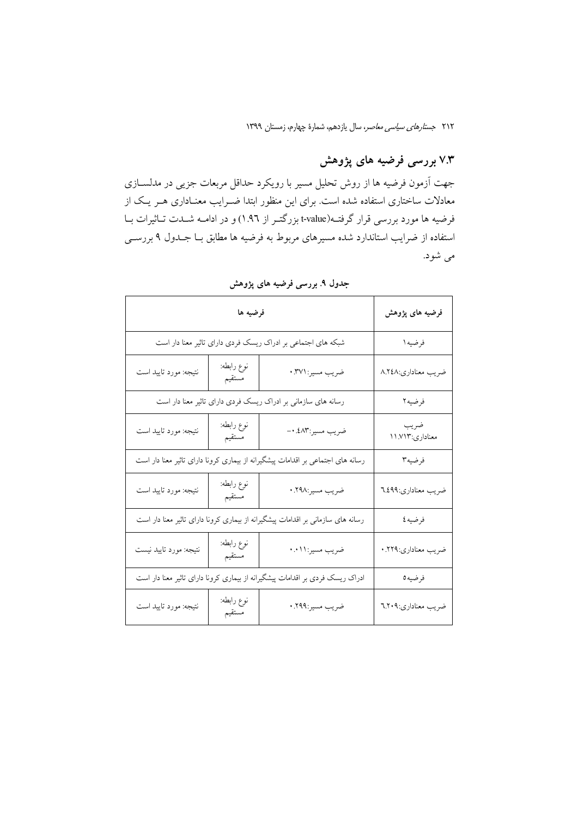# ۷.۳ بررسی فرضیه های پژوهش

جهت آزمون فرضیه ها از روش تحلیل مسیر با رویکرد حداقل مربعات جزیی در مدلســازی معادلات ساختاری استفاده شده است. برای این منظور ابتدا ضـرایب معنـاداری هـر یـک از فرضیه ها مورد بررسی قرار گرفته(t-value+ بزرگتـر از ۱.۹٦) و در ادامــه شــدت تــاثیرات بــا استفاده از ضرایب استاندارد شده مسیرهای مربوط به فرضیه ها مطابق بـا جـدول ۹ بررســی مي شود.

|                                                              | فرضیه های پژوهش      |                                                                                 |                         |
|--------------------------------------------------------------|----------------------|---------------------------------------------------------------------------------|-------------------------|
| شبکه های اجتماعی بر ادراک ریسک فردی دارای تاثیر معنا دار است | فرضيه ۱              |                                                                                 |                         |
| نتيجه: مورد تاييد است                                        | نوع رابطه:<br>مستقيم | ضريب مسير: ٠.٣٧١                                                                | ضريب معناداري:٨.٢٤٨     |
|                                                              |                      | رسانه های سازمانی بر ادراک ریسک فردی دارای تاثیر معنا دار است                   | فرضيه٢                  |
| نتيجه: مورد تاييد است                                        | نوع رابطه:<br>مستقيم | ضريب مسير:٤٨٣. ٠-                                                               | ضريب<br>معناداري:١١.٧١٣ |
|                                                              |                      | رسانه های اجتماعی بر اقدامات پیشگیرانه از بیماری کرونا دارای تاثیر معنا دار است | فرضيه٣                  |
| نتيجه: مورد تاييد است                                        | نوع رابطه:<br>مستقيم | ضريب مسير:٢٩٨.                                                                  | ضريب معناداري:٦.٤٩٩     |
|                                                              |                      | رسانه های سازمانی بر اقدامات پیشگیرانه از بیماری کرونا دارای تاثیر معنا دار است | فرضيه ٤                 |
| نتيجه: مورد تاييد نيست                                       | نوع رابطه:<br>مستقيم | ضريب مسير:١١.٠                                                                  | ضريب معناداري:٢٢٩.      |
|                                                              |                      | ادراک ریسک فردی بر اقدامات پیشگیرانه از بیماری کرونا دارای تاثیر معنا دار است   | فرضيه0                  |
| نتيجه: مورد تاييد است                                        | نوع رابطه:<br>مستقيم | ضريب مسير:٢٩٩.٠                                                                 | ضريب معناداري:٦.٢٠٩     |

جدول ۹ بررسی فرضیه های پژوهش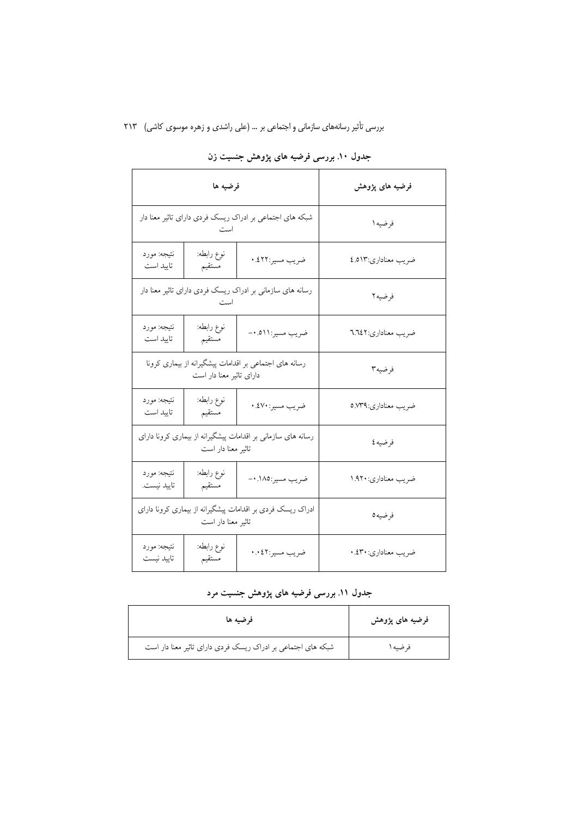| فرضيه ها                                                                           |                      |                   | فرضیه های پژوهش      |
|------------------------------------------------------------------------------------|----------------------|-------------------|----------------------|
| شبکه های اجتماعی بر ادراک ریسک فردی دارای تاثیر معنا دار<br>است                    |                      |                   | فرضيه ۱              |
| نتيجه: مورد<br>تاييد است                                                           | نوع رابطه:<br>مستقيم | ضريب مسير:٤٢٢.    | ضريب معناداري:٤.٥١٣  |
| رسانه های سازمانی بر ادراک ریسک فردی دارای تاثیر معنا دار<br>است                   |                      |                   | فرضيه٢               |
| نتيجه: مورد<br>تاييد است                                                           | نوع رابطه:<br>مستقيم | ضريب مسير:١١١ه.٠- | ضريب معناداري: ٦.٦٤٢ |
| رسانه های اجتماعی بر اقدامات پیشگیرانه از بیماری کرونا<br>دارای تاثیر معنا دار است |                      |                   | فرضيه٣               |
| نتيجه: مورد<br>تاييد است                                                           | نوع رابطه:<br>مستقيم | ضريب مسير: ٤٧٠. • | ضريب معناداري: ٥.٧٣٩ |
| رسانه های سازمانی بر اقدامات پیشگیرانه از بیماری کرونا دارای<br>تاثیر معنا دار است |                      |                   | فرضيه ٤              |
| نتيجه: مورد<br>تاييد نيست.                                                         | نوع رابطه:<br>مستقيم | ضريب مسير:١٨٥. ٠- | ضريب معناداري: ١.٩٢٠ |
| ادراک ریسک فردی بر اقدامات پیشگیرانه از بیماری کرونا دارای<br>تاثیر معنا دار است   |                      |                   | فرضيه0               |
| نتيجه: مورد<br>تاييد نيست                                                          | نوع رابطه:<br>مستقيم | ضريب مسير:٤٢ ٠.٠  | ضريب معناداري: ٤٣٠.  |

## جدول ۱۰. بررسی فرضیه های پژوهش جنسیت زن

### جدول ۱۱. بررسی فرضیه های پژوهش جنسیت مرد

| فرضيه ها                                                     | فرضیه های پژوهش |
|--------------------------------------------------------------|-----------------|
| شبکه های اجتماعی بر ادراک ریسک فردی دارای تاثیر معنا دار است | فرضيه ا         |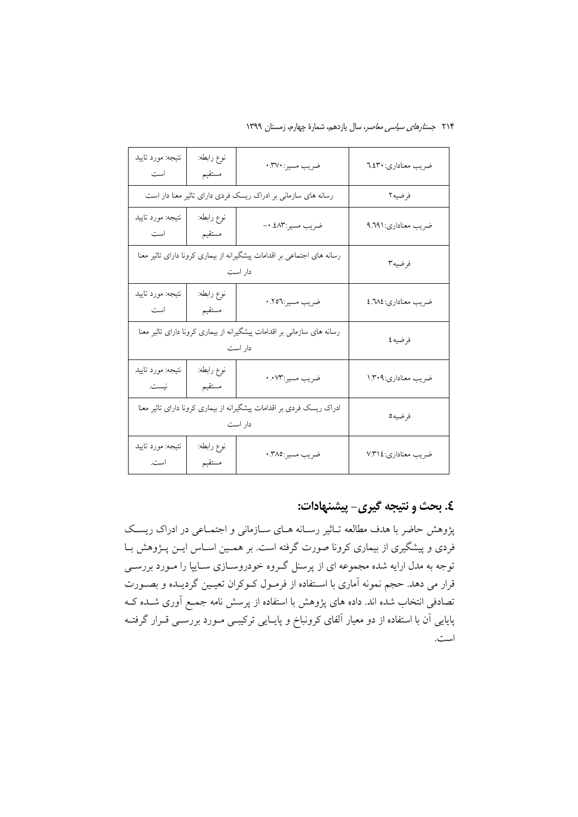| ۲۱۴ <i>جستارهای سیاسی معاصر</i> ، سال یازدهم، شمارهٔ چهارم، زمستان ۱۳۹۹ |  |  |  |  |
|-------------------------------------------------------------------------|--|--|--|--|
|-------------------------------------------------------------------------|--|--|--|--|

| نتيجه: مورد تاييد<br>است                                                           | نوع رابطه:<br>مستقيم | ضريب مسير: ٣٧٠.                                               | ضريب معناداري: ٦.٤٣٠ |
|------------------------------------------------------------------------------------|----------------------|---------------------------------------------------------------|----------------------|
|                                                                                    |                      | رسانه های سازمانی بر ادراک ریسک فردی دارای تاثیر معنا دار است | فرضيه٢               |
| نتيجه: مورد تاييد<br>است                                                           | نوع رابطه:<br>مستقيم | ضريب مسير:٤٨٣.٠-                                              | ضريب معناداري: ٩.٦٩١ |
| رسانه های اجتماعی بر اقدامات پیشگیرانه از بیماری کرونا دارای تاثیر معنا<br>دار است |                      |                                                               | فرضيه٣               |
| نتيجه: مورد تاييد<br>است                                                           | نوع رابطه:<br>مستقيم | ضريب مسير:٢٥٦.                                                | ضريب معناداري:٤.٦٨٤  |
| رسانه های سازمانی بر اقدامات پیشگیرانه از بیماری کرونا دارای تاثیر معنا<br>دار است |                      |                                                               | فرضيه ٤              |
| نتيجه: مورد تاييد<br>نيست.                                                         | نوع رابطه:<br>مستقيم | ضريب مسير:٠.٧٣                                                | ضريب معناداري:١.٣٠٩  |
| ادراک ریسک فردی بر اقدامات پیشگیرانه از بیماری کرونا دارای تاثیر معنا<br>دار است   |                      |                                                               | فرضيه0               |
| نتيجه: مورد تاييد<br>است.                                                          | نوع رابطه:<br>مستقيم | ضريب مسير:٣٨٥.                                                | ضريب معناداري: ٧.٣١٤ |

# ٤. بحث و نتيجه گيري- پيشنهادات:

پژوهش حاضر با هدف مطالعه تـاثیر رسـانه هـای سـازمانی و اجتمـاعی در ادراک ریسـک فردی و پیشگیری از بیماری کرونا صورت گرفته است. بر همـین اســاس ایــن پــژوهش بــا توجه به مدل ارایه شده مجموعه ای از پرسنل گـروه خودروسـازی سـایپا را مـورد بررســی قرار می دهد. حجم نمونه آماری با اسـتفاده از فرمـول کـوکران تعیـین گردیـده و بصـورت تصادفی انتخاب شده اند. داده های پژوهش با استفاده از پرسش نامه جمـع آوری شــده کــه پایایی آن با استفاده از دو معیار آلفای کرونباخ و پایایی ترکیبے مورد بررسـی قـرار گرفتـه است.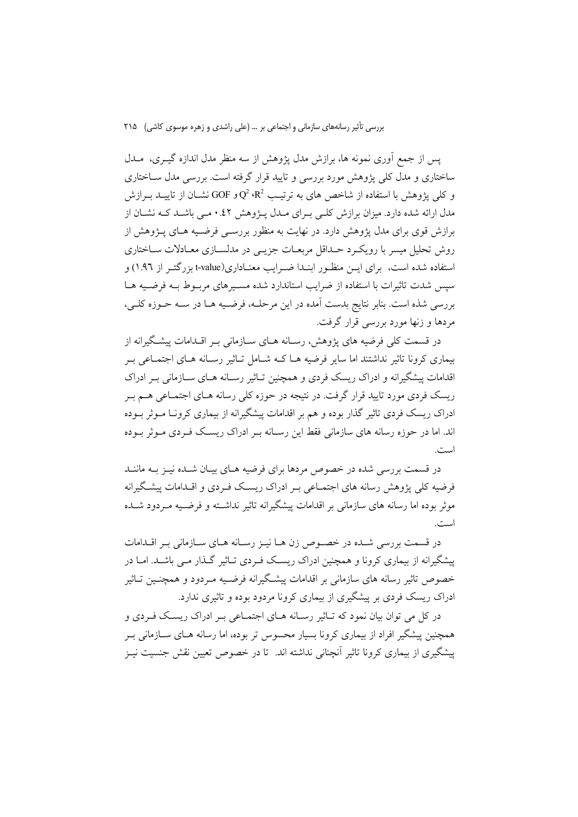پس از جمع آوری نمونه ها، برازش مدل پژوهش از سه منظر مدل اندازه گیــری، مــدل ساختاری و مدل کلی پژوهش مورد بررسی و تایید قرار گرفته است. بررسی مدل سـاختاری و کلم پژوهش با استفاده از شاخص های به ترتیب Q وGOF و GOF نشــان از تاییــد بــرازش مدل ارائه شده دارد. میزان برازش کلـی بـرای مـدل پـژوهش ٤٢.• مـی باشـد کـه نشـان از برازش قوی برای مدل پژوهش دارد. در نهایت به منظور بررســی فرضــیه هــای پــژوهش از روش تحلیل میسر با رویک د حـداقل مربعـات جزیــی در مدلســازی معــادلات ســاختاری استفاده شده است، برای ایــن منظـور ابنــدا ضــرایب معنــاداری(t-value بزرگتــر از ۱.۹٦) و سیس شدت تاثیرات با استفاده از ضرایب استاندارد شده مسیرهای مربوط بـه فرضـیه هـا بررسی شذه است. بنابر نتایج بدست آمده در این مرحلـه، فرضـیه هـا در سـه حـوزه کلـی، مردها و زنها مورد بررسی قرار گرفت.

در قسمت کلی فرضیه های پژوهش، رسـانه هـای سـازمانی بـر اقـدامات پیشـگیرانه از بیماری کرونا تاثیر نداشتند اما سایر فرضیه هــا کــه شــامل تــاثیر رســانه هــای اجتمــاعی بــر اقدامات پیشگیرانه و ادراک ریسک فردی و همچنین تـاثیر رسـانه هـای سـازمانی بـر ادراک ریسک فردی مورد تایید قرار گرفت. در نتیجه در حوزه کلی رسانه هـای اجتمـاعی هــم بـر ادراک ریسک فردی تاثیر گذار بوده و هم بر اقدامات پیشگیرانه از بیماری کرونـا مــوثر بــوده اند. اما در حوزه رسانه های سازمانی فقط این رسـانه بـر ادراک ریسـک فـردی مـوثر بـوده است.

در قسمت بررسی شده در خصوص مردها برای فرضیه هـای بیـان شـده نیـز بـه ماننـد فرضیه کلی پژوهش رسانه های اجتمـاعی بـر ادراک ریسـک فـردی و اقـدامات پیشـگیرانه موثر بوده اما رسانه های سازمانی بر اقدامات پیشگیرانه تاثیر نداشته و فرضـیه مـردود شــده است.

در قسمت بررسی شـده در خصـوص زن هـا نیـز رسـانه هـای سـازمانی بـر اقـدامات پیشگیرانه از بیماری کرونا و همچنین ادراک ریسک فـردی تـاثیر گـذار مـی باشـد. امـا در خصوص تاثیر رسانه های سازمانی بر اقدامات پیشگیرانه فرضـیه مـردود و همچنـین تــاثیر ادراک ریسک فردی بر پیشگیری از بیماری کرونا مردود بوده و تاثیری ندارد.

در کل می توان بیان نمود که تـاثیر رسـانه هـای اجتمـاعی بـر ادراک ریسـک فـردی و همچنین پیشگیر افراد از بیماری کرونا بسیار محسوس تر بوده، اما رسانه هـای ســازمانی بــر پیشگیری از بیماری کرونا تاثیر آنچنانی نداشته اند. تا در خصوص تعیین نقش جنسیت نیـز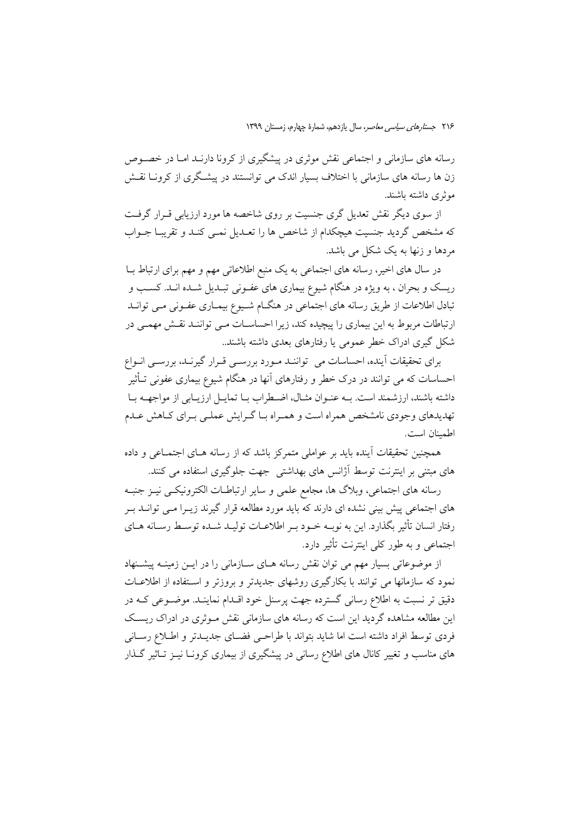رسانه های سازمانی و اجتماعی نقش موثری در پیشگیری از کرونا دارنـد امـا در خصـوص زن ها رسانه های سازمانی با اختلاف بسیار اندک می توانستند در پیشگری از کرونــا نقــش موثري داشته باشند.

از سوی دیگر نقش تعدیل گری جنسیت بر روی شاخصه ها مورد ارزیابی قـرار گرفـت که مشخص گردید جنسیت هیچکدام از شاخص ها را تعـدیل نمـی کنـد و تقریبـا جــواب مردها و زنها به یک شکل می باشد.

در سال های اخیر، رسانه های اجتماعی به یک منبع اطلاعاتی مهم و مهم برای ارتباط بــا ریسک و بحران ، به ویژه در هنگام شیوع بیماری های عفـونی تبـدیل شـده انـد. کسـب و تبادل اطلاعات از طریق رسانه های اجتماعی در هنگــام شــیوع بیمــاری عفــونی مــی توانــد ارتباطات مربوط به این بیماری را پیچیده کند، زیرا احساسـات مـی تواننـد نقـش مهمـی در شکل گیری ادراک خطر عمومی یا رفتارهای بعدی داشته باشند..

برای تحقیقات آینده، احساسات می تواننـد مـورد بررسـی قـرار گیرنـد، بررسـی انـواع احساسات که می توانند در درک خطر و رفتارهای آنها در هنگام شیوع بیماری عفونی تــأثیر داشته باشند، ارزشمند است. بــه عنــوان مثــال، اضــطراب بــا تمايــل ارزيــابي از مواجهــه بــا تهدیدهای وجودی نامشخص همراه است و همـراه بـا گـرایش عملـی بـرای کـاهش عـدم اطمىنان است.

همچنین تحقیقات آینده باید بر عواملی متمرکز باشد که از رسانه هــای اجتمــاعی و داده های مبتنی بر اینترنت توسط آژانس های بهداشتی ً جهت جلوگیری استفاده می کنند.

رسانه های اجتماعی، وبلاگ ها، مجامع علمی و سایر ارتباطـات الکترونیکـی نیـز جنبـه های اجتماعی پیش بینی نشده ای دارند که باید مورد مطالعه قرار گیرند زیـرا مـی توانـد بـر رفتار انسان تأثیر بگذارد. این به نوبـه خـود بـر اطلاعـات تولیـد شـده توسـط رسـانه هــای اجتماعی و به طور کلی اینترنت تأثیر دارد.

از موضوعاتی بسیار مهم می توان نقش رسانه هـای سـازمانی را در ایــن زمینــه پیشــنهاد نمود که سازمانها می توانند با بکارگیری روشهای جدیدتر و بروزتر و استفاده از اطلاعیات دقيق تر نسبت به اطلاع رساني گسترده جهت پرسنل خود اقــدام نماينــد. موضــوعي كــه در این مطالعه مشاهده گردید این است که رسانه های سازمانی نقش مـوثری در ادراک ریسـک فردی توسط افراد داشته است اما شاید بتواند با طراحـی فضـای جدیــدتر و اطــلاع رســانی های مناسب و تغییر کانال های اطلاع رسانی در پیشگیری از بیماری کرونـا نیــز تــاثیر گــذار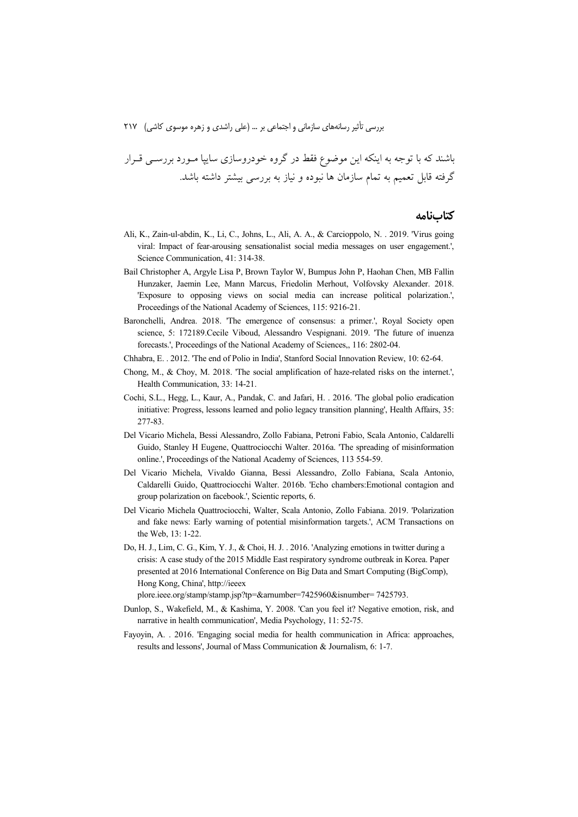باشند که با توجه به اینکه این موضوع فقط در گروه خودروسازی سایپا مـورد بررســی قــرار گرفته قابل تعمیم به تمام سازمان ها نبوده و نیاز به بررسی بیشتر داشته باشد.

#### **كتابنامه**

- Ali, K., Zain-ul-abdin, K., Li, C., Johns, L., Ali, A. A., & Carcioppolo, N. . 2019. 'Virus going viral: Impact of fear-arousing sensationalist social media messages on user engagement.', Science Communication, 41: 314-38.
- Bail Christopher A, Argyle Lisa P, Brown Taylor W, Bumpus John P, Haohan Chen, MB Fallin Hunzaker, Jaemin Lee, Mann Marcus, Friedolin Merhout, Volfovsky Alexander. 2018. 'Exposure to opposing views on social media can increase political polarization.', Proceedings of the National Academy of Sciences, 115: 9216-21.
- Baronchelli, Andrea. 2018. 'The emergence of consensus: a primer.', Royal Society open science, 5: 172189.Cecile Viboud, Alessandro Vespignani. 2019. 'The future of inuenza forecasts.', Proceedings of the National Academy of Sciences,, 116: 2802-04.
- Chhabra, E. . 2012. 'The end of Polio in India', Stanford Social Innovation Review, 10: 62-64.
- Chong, M., & Choy, M. 2018. 'The social amplification of haze-related risks on the internet.', Health Communication, 33: 14-21.
- Cochi, S.L., Hegg, L., Kaur, A., Pandak, C. and Jafari, H. . 2016. 'The global polio eradication initiative: Progress, lessons learned and polio legacy transition planning', Health Affairs, 35: 277-83.
- Del Vicario Michela, Bessi Alessandro, Zollo Fabiana, Petroni Fabio, Scala Antonio, Caldarelli Guido, Stanley H Eugene, Quattrociocchi Walter. 2016a. 'The spreading of misinformation online.', Proceedings of the National Academy of Sciences, 113 554-59.
- Del Vicario Michela, Vivaldo Gianna, Bessi Alessandro, Zollo Fabiana, Scala Antonio, Caldarelli Guido, Quattrociocchi Walter. 2016b. 'Echo chambers:Emotional contagion and group polarization on facebook.', Scientic reports, 6.
- Del Vicario Michela Quattrociocchi, Walter, Scala Antonio, Zollo Fabiana. 2019. 'Polarization and fake news: Early warning of potential misinformation targets.', ACM Transactions on the Web, 13: 1-22.
- Do, H. J., Lim, C. G., Kim, Y. J., & Choi, H. J. . 2016. 'Analyzing emotions in twitter during a crisis: A case study of the 2015 Middle East respiratory syndrome outbreak in Korea. Paper presented at 2016 International Conference on Big Data and Smart Computing (BigComp), Hong Kong, China', http://ieeex plore.ieee.org/stamp/stamp.jsp?tp=&arnumber=7425960&isnumber= 7425793.
- Dunlop, S., Wakefield, M., & Kashima, Y. 2008. 'Can you feel it? Negative emotion, risk, and
- narrative in health communication', Media Psychology, 11: 52-75.
- Fayoyin, A. . 2016. 'Engaging social media for health communication in Africa: approaches, results and lessons', Journal of Mass Communication & Journalism, 6: 1-7.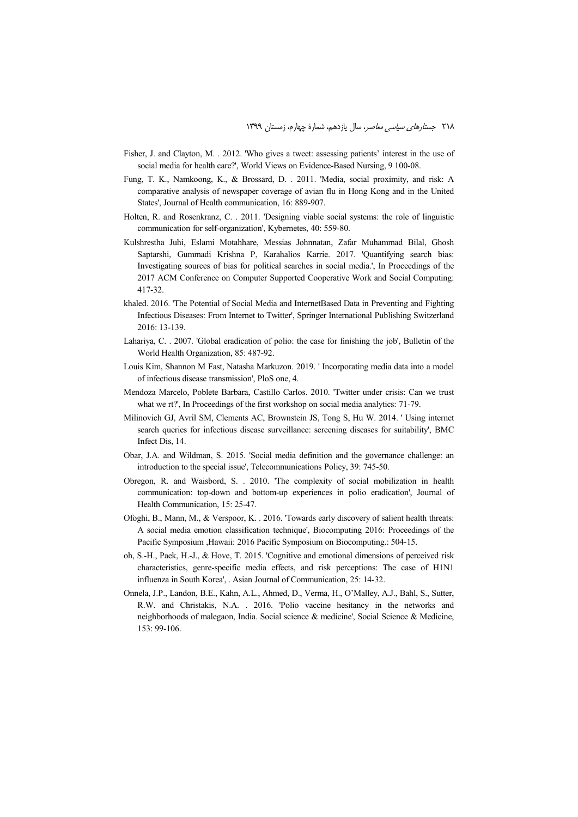- Fisher, J. and Clayton, M. . 2012. 'Who gives a tweet: assessing patients' interest in the use of social media for health care?', World Views on Evidence-Based Nursing, 9 100-08.
- Fung, T. K., Namkoong, K., & Brossard, D. . 2011. 'Media, social proximity, and risk: A comparative analysis of newspaper coverage of avian flu in Hong Kong and in the United States', Journal of Health communication, 16: 889-907.
- Holten, R. and Rosenkranz, C. . 2011. 'Designing viable social systems: the role of linguistic communication for self-organization', Kybernetes, 40: 559-80.
- Kulshrestha Juhi, Eslami Motahhare, Messias Johnnatan, Zafar Muhammad Bilal, Ghosh Saptarshi, Gummadi Krishna P, Karahalios Karrie. 2017. 'Quantifying search bias: Investigating sources of bias for political searches in social media.', In Proceedings of the 2017 ACM Conference on Computer Supported Cooperative Work and Social Computing: 417-32.
- khaled. 2016. 'The Potential of Social Media and InternetBased Data in Preventing and Fighting Infectious Diseases: From Internet to Twitter', Springer International Publishing Switzerland 2016: 13-139.
- Lahariya, C. . 2007. 'Global eradication of polio: the case for finishing the job', Bulletin of the World Health Organization, 85: 487-92.
- Louis Kim, Shannon M Fast, Natasha Markuzon. 2019. ' Incorporating media data into a model of infectious disease transmission', PloS one, 4.
- Mendoza Marcelo, Poblete Barbara, Castillo Carlos. 2010. 'Twitter under crisis: Can we trust what we rt?', In Proceedings of the first workshop on social media analytics: 71-79.
- Milinovich GJ, Avril SM, Clements AC, Brownstein JS, Tong S, Hu W. 2014. ' Using internet search queries for infectious disease surveillance: screening diseases for suitability', BMC Infect Dis, 14.
- Obar, J.A. and Wildman, S. 2015. 'Social media definition and the governance challenge: an introduction to the special issue', Telecommunications Policy, 39: 745-50.
- Obregon, R. and Waisbord, S. . 2010. 'The complexity of social mobilization in health communication: top-down and bottom-up experiences in polio eradication', Journal of Health Communication, 15: 25-47.
- Ofoghi, B., Mann, M., & Verspoor, K. . 2016. 'Towards early discovery of salient health threats: A social media emotion classification technique', Biocomputing 2016: Proceedings of the Pacific Symposium ,Hawaii: 2016 Pacific Symposium on Biocomputing.: 504-15.
- oh, S.-H., Paek, H.-J., & Hove, T. 2015. 'Cognitive and emotional dimensions of perceived risk characteristics, genre-specific media effects, and risk perceptions: The case of H1N1 influenza in South Korea', . Asian Journal of Communication, 25: 14-32.
- Onnela, J.P., Landon, B.E., Kahn, A.L., Ahmed, D., Verma, H., O'Malley, A.J., Bahl, S., Sutter, R.W. and Christakis, N.A. . 2016. 'Polio vaccine hesitancy in the networks and neighborhoods of malegaon, India. Social science & medicine', Social Science & Medicine, 153: 99-106.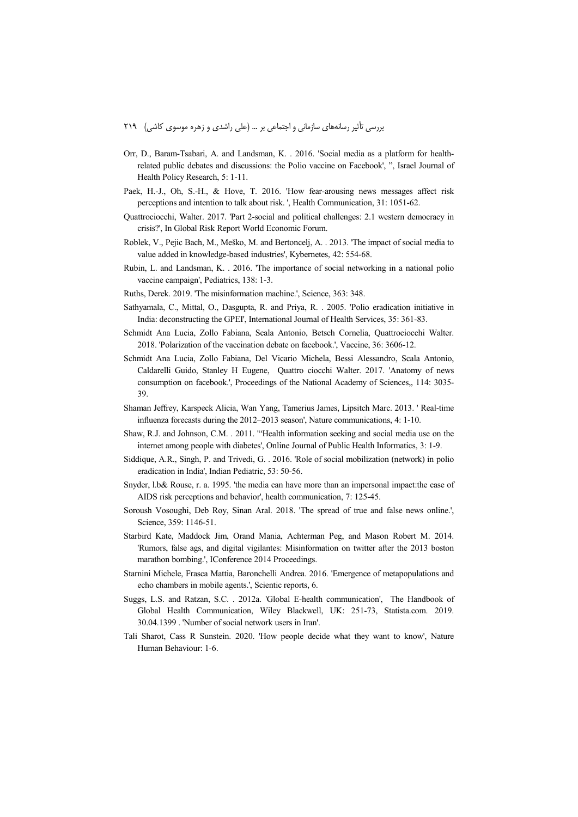- Orr, D., Baram-Tsabari, A. and Landsman, K. . 2016. 'Social media as a platform for healthrelated public debates and discussions: the Polio vaccine on Facebook', ", Israel Journal of Health Policy Research, 5: 1-11.
- Paek, H.-J., Oh, S.-H., & Hove, T. 2016. 'How fear-arousing news messages affect risk perceptions and intention to talk about risk. ', Health Communication, 31: 1051-62.
- Quattrociocchi, Walter. 2017. 'Part 2-social and political challenges: 2.1 western democracy in crisis?', In Global Risk Report World Economic Forum.
- Roblek, V., Pejic Bach, M., Meško, M. and Bertoncelj, A. . 2013. 'The impact of social media to value added in knowledge-based industries', Kybernetes, 42: 554-68.
- Rubin, L. and Landsman, K. . 2016. 'The importance of social networking in a national polio vaccine campaign', Pediatrics, 138: 1-3.
- Ruths, Derek. 2019. 'The misinformation machine.', Science, 363: 348.
- Sathyamala, C., Mittal, O., Dasgupta, R. and Priya, R. . 2005. 'Polio eradication initiative in India: deconstructing the GPEI', International Journal of Health Services, 35: 361-83.
- Schmidt Ana Lucia, Zollo Fabiana, Scala Antonio, Betsch Cornelia, Quattrociocchi Walter. 2018. 'Polarization of the vaccination debate on facebook.', Vaccine, 36: 3606-12.
- Schmidt Ana Lucia, Zollo Fabiana, Del Vicario Michela, Bessi Alessandro, Scala Antonio, Caldarelli Guido, Stanley H Eugene, Quattro ciocchi Walter. 2017. 'Anatomy of news consumption on facebook.', Proceedings of the National Academy of Sciences,, 114: 3035- 39.
- Shaman Jeffrey, Karspeck Alicia, Wan Yang, Tamerius James, Lipsitch Marc. 2013. ' Real-time influenza forecasts during the 2012–2013 season', Nature communications, 4: 1-10.
- Shaw, R.J. and Johnson, C.M. . 2011. '"Health information seeking and social media use on the internet among people with diabetes', Online Journal of Public Health Informatics, 3: 1-9.
- Siddique, A.R., Singh, P. and Trivedi, G. . 2016. 'Role of social mobilization (network) in polio eradication in India', Indian Pediatric, 53: 50-56.
- Snyder, l.b& Rouse, r. a. 1995. 'the media can have more than an impersonal impact:the case of AIDS risk perceptions and behavior', health communication, 7: 125-45.
- Soroush Vosoughi, Deb Roy, Sinan Aral. 2018. 'The spread of true and false news online.', Science, 359: 1146-51.
- Starbird Kate, Maddock Jim, Orand Mania, Achterman Peg, and Mason Robert M. 2014. 'Rumors, false ags, and digital vigilantes: Misinformation on twitter after the 2013 boston marathon bombing.', IConference 2014 Proceedings.
- Starnini Michele, Frasca Mattia, Baronchelli Andrea. 2016. 'Emergence of metapopulations and echo chambers in mobile agents.', Scientic reports, 6.
- Suggs, L.S. and Ratzan, S.C. . 2012a. 'Global E-health communication', The Handbook of Global Health Communication, Wiley Blackwell, UK: 251-73, Statista.com. 2019. 30.04.1399 . 'Number of social network users in Iran'.
- Tali Sharot, Cass R Sunstein. 2020. 'How people decide what they want to know', Nature Human Behaviour: 1-6.